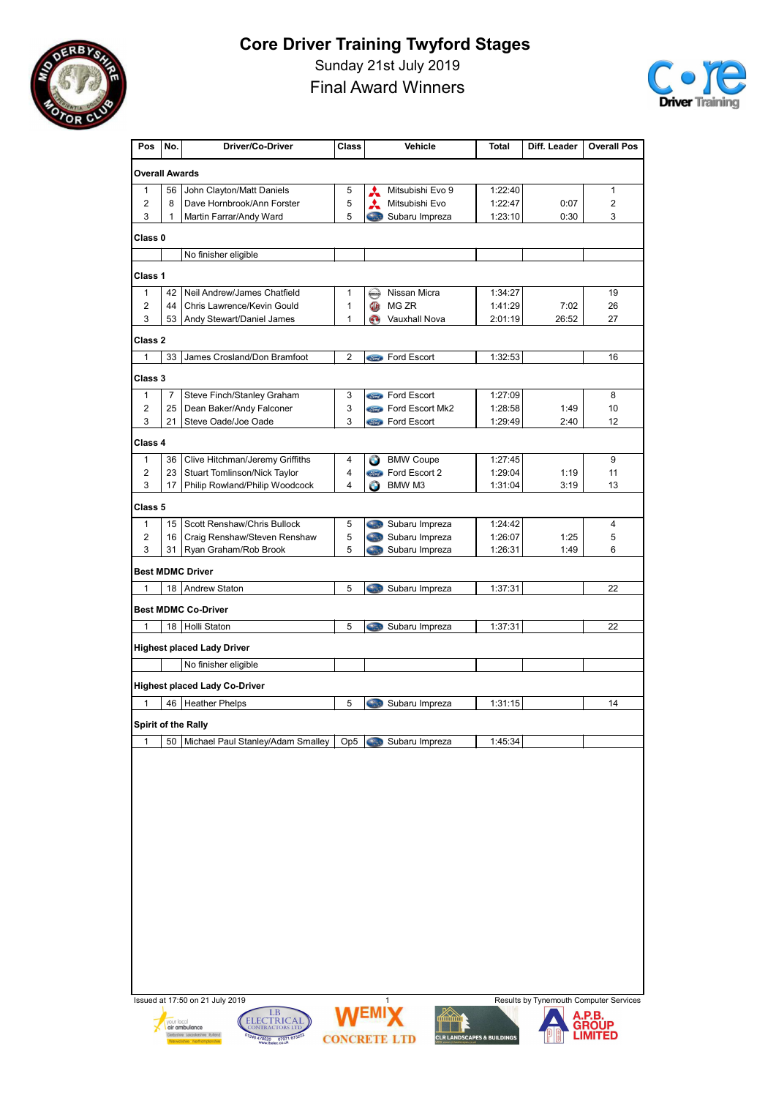

Sunday 21st July 2019





| Pos                     | No.        | Driver/Co-Driver                                                                                                                      | Class             |                          | Vehicle                          | Total                                 | Diff. Leader                           | <b>Overall Pos</b>     |
|-------------------------|------------|---------------------------------------------------------------------------------------------------------------------------------------|-------------------|--------------------------|----------------------------------|---------------------------------------|----------------------------------------|------------------------|
| <b>Overall Awards</b>   |            |                                                                                                                                       |                   |                          |                                  |                                       |                                        |                        |
| $\mathbf{1}$            | 56         | John Clayton/Matt Daniels                                                                                                             | 5                 |                          | Mitsubishi Evo 9                 | 1:22:40                               |                                        | $\mathbf{1}$           |
| $\overline{2}$          | 8          | Dave Hornbrook/Ann Forster                                                                                                            | 5                 | A                        | Mitsubishi Evo                   | 1:22:47                               | 0:07                                   | $\overline{2}$         |
| 3                       | 1          | Martin Farrar/Andy Ward                                                                                                               | 5                 |                          | Subaru Impreza                   | 1:23:10                               | 0:30                                   | 3                      |
| Class <sub>0</sub>      |            |                                                                                                                                       |                   |                          |                                  |                                       |                                        |                        |
|                         |            | No finisher eligible                                                                                                                  |                   |                          |                                  |                                       |                                        |                        |
| Class 1                 |            |                                                                                                                                       |                   |                          |                                  |                                       |                                        |                        |
| 1                       | 42         | Neil Andrew/James Chatfield                                                                                                           | 1                 | ⇔                        | Nissan Micra                     | 1:34:27                               |                                        | 19                     |
| $\overline{2}$<br>3     | 44<br>53   | Chris Lawrence/Kevin Gould<br>Andy Stewart/Daniel James                                                                               | 1<br>$\mathbf{1}$ | O<br>G)                  | MG ZR<br><b>Vauxhall Nova</b>    | 1:41:29<br>2:01:19                    | 7:02<br>26:52                          | 26<br>27               |
| Class 2                 |            |                                                                                                                                       |                   |                          |                                  |                                       |                                        |                        |
| 1                       | 33         | James Crosland/Don Bramfoot                                                                                                           | $\overline{c}$    |                          | <b>Stind</b> Ford Escort         | 1:32:53                               |                                        | 16                     |
| Class 3                 |            |                                                                                                                                       |                   |                          |                                  |                                       |                                        |                        |
| $\mathbf{1}$            | 7          | Steve Finch/Stanley Graham                                                                                                            | 3                 |                          | <b>Come</b> Ford Escort          | 1:27:09                               |                                        | 8                      |
| $\overline{2}$          | 25         | Dean Baker/Andy Falconer                                                                                                              | 3                 |                          | <b>Come</b> Ford Escort Mk2      | 1:28:58                               | 1:49                                   | 10                     |
| 3                       | 21         | Steve Oade/Joe Oade                                                                                                                   | 3                 |                          | <b>Come</b> Ford Escort          | 1:29:49                               | 2:40                                   | 12                     |
| Class 4                 |            |                                                                                                                                       |                   |                          |                                  |                                       |                                        |                        |
| $\mathbf{1}$            | 36         | Clive Hitchman/Jeremy Griffiths                                                                                                       | 4                 | $\bullet$                | <b>BMW Coupe</b>                 | 1:27:45                               |                                        | 9                      |
| $\overline{2}$<br>3     | 23         | <b>Stuart Tomlinson/Nick Taylor</b>                                                                                                   | 4<br>4            | <i><b>Stord</b></i><br>Æ | Ford Escort 2<br>BMW M3          | 1:29:04                               | 1:19<br>3:19                           | 11                     |
|                         | 17         | Philip Rowland/Philip Woodcock                                                                                                        |                   |                          |                                  | 1:31:04                               |                                        | 13                     |
| Class 5<br>$\mathbf{1}$ | 15         | Scott Renshaw/Chris Bullock                                                                                                           |                   | <b>Card</b>              |                                  | 1:24:42                               |                                        | 4                      |
| $\overline{2}$          | 16         | Craig Renshaw/Steven Renshaw                                                                                                          | 5<br>5            |                          | Subaru Impreza<br>Subaru Impreza | 1:26:07                               | 1:25                                   | 5                      |
| 3                       | 31         | Ryan Graham/Rob Brook                                                                                                                 | 5                 |                          | Subaru Impreza                   | 1:26:31                               | 1:49                                   | 6                      |
|                         |            | <b>Best MDMC Driver</b>                                                                                                               |                   |                          |                                  |                                       |                                        |                        |
| 1                       | 18         | Andrew Staton                                                                                                                         | 5                 |                          | Subaru Impreza                   | 1:37:31                               |                                        | 22                     |
|                         |            | <b>Best MDMC Co-Driver</b>                                                                                                            |                   |                          |                                  |                                       |                                        |                        |
| 1                       |            | 18 Holli Staton                                                                                                                       | 5                 |                          | Subaru Impreza                   | 1:37:31                               |                                        | 22                     |
|                         |            | <b>Highest placed Lady Driver</b>                                                                                                     |                   |                          |                                  |                                       |                                        |                        |
|                         |            | No finisher eligible                                                                                                                  |                   |                          |                                  |                                       |                                        |                        |
|                         |            | <b>Highest placed Lady Co-Driver</b>                                                                                                  |                   |                          |                                  |                                       |                                        |                        |
| 1                       | 46         | <b>Heather Phelps</b>                                                                                                                 | 5                 |                          | Subaru Impreza                   | 1:31:15                               |                                        | 14                     |
|                         |            | Spirit of the Rally                                                                                                                   |                   |                          |                                  |                                       |                                        |                        |
| 1                       | 50         | Michael Paul Stanley/Adam Smalley                                                                                                     | Op <sub>5</sub>   |                          | Subaru Impreza                   | 1:45:34                               |                                        |                        |
|                         |            |                                                                                                                                       |                   |                          |                                  |                                       |                                        |                        |
|                         | vour local | Issued at 17:50 on 21 July 2019<br>LB<br>ELECTRICAL<br>air ambulance<br>Derbyshire Leicestershire Rutland<br>01246 470520 07971 67320 |                   | /EM                      | 1<br>umu<br><b>CONCRETE LTD</b>  | <b>CLR LANDSCAPES &amp; BUILDINGS</b> | Results by Tynemouth Computer Services | A.P.B.<br><b>GROUP</b> |

**CONCRETE LTD**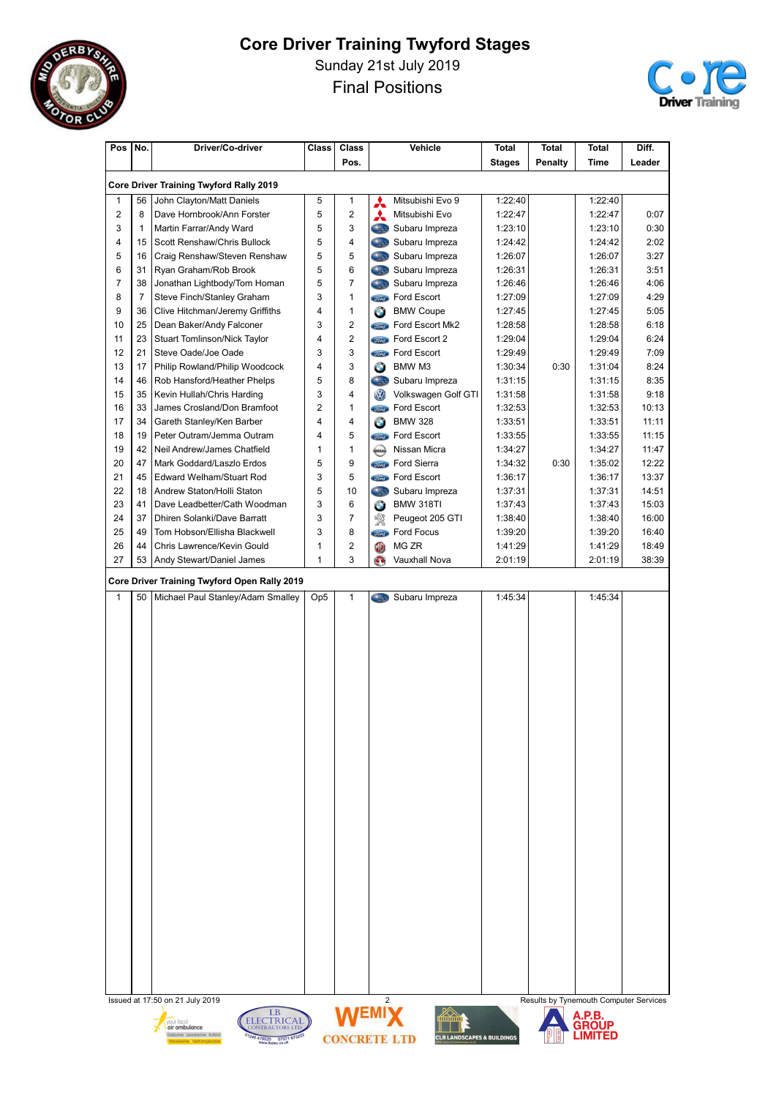

Sunday 21st July 2019

Final Positions



| Pos            | No.            | Driver/Co-driver                               | <b>Class</b>    | <b>Class</b>          |                            | Vehicle                     | Total         | <b>Total</b> | <b>Total</b>                           | Diff.  |
|----------------|----------------|------------------------------------------------|-----------------|-----------------------|----------------------------|-----------------------------|---------------|--------------|----------------------------------------|--------|
|                |                |                                                |                 | Pos.                  |                            |                             | <b>Stages</b> | Penalty      | <b>Time</b>                            | Leader |
|                |                | <b>Core Driver Training Twyford Rally 2019</b> |                 |                       |                            |                             |               |              |                                        |        |
| 1              | 56             | John Clayton/Matt Daniels                      | 5               | 1                     | ⋏                          | Mitsubishi Evo 9            | 1:22:40       |              | 1:22:40                                |        |
| $\overline{2}$ | 8              | Dave Hornbrook/Ann Forster                     | 5               | $\overline{c}$        | A                          | Mitsubishi Evo              | 1:22:47       |              | 1:22:47                                | 0:07   |
| 3              | $\mathbf{1}$   | Martin Farrar/Andy Ward                        | 5               | 3                     | <b>Castle</b>              | Subaru Impreza              | 1:23:10       |              | 1:23:10                                | 0:30   |
| 4              | 15             | Scott Renshaw/Chris Bullock                    | 5               | 4                     | <b>Class</b>               | Subaru Impreza              | 1:24:42       |              | 1:24:42                                | 2:02   |
| 5              | 16             | Craig Renshaw/Steven Renshaw                   | 5               | 5                     | <b>Stag</b>                | Subaru Impreza              | 1:26:07       |              | 1:26:07                                | 3:27   |
| 6              | 31             | Ryan Graham/Rob Brook                          | 5               | 6                     | <b>Cast</b>                | Subaru Impreza              | 1:26:31       |              | 1:26:31                                | 3:51   |
| 7              | 38             | Jonathan Lightbody/Tom Homan                   | 5               | 7                     | <b>City</b>                | Subaru Impreza              | 1:26:46       |              | 1:26:46                                | 4:06   |
| 8              | $\overline{7}$ | Steve Finch/Stanley Graham                     | 3               | 1                     | <b><i>Sired</i></b>        | Ford Escort                 | 1:27:09       |              | 1:27:09                                | 4:29   |
| 9              | 36             | Clive Hitchman/Jeremy Griffiths                | 4               | 1                     | $\bullet$                  | <b>BMW Coupe</b>            | 1:27:45       |              | 1:27:45                                | 5:05   |
| 10             | 25             | Dean Baker/Andy Falconer                       | 3               | 2                     |                            | <b>Come</b> Ford Escort Mk2 | 1:28:58       |              | 1:28:58                                | 6:18   |
| 11             | 23             | Stuart Tomlinson/Nick Taylor                   | 4               | $\overline{2}$        | <i><b>Stord</b></i>        | Ford Escort 2               | 1:29:04       |              | 1:29:04                                | 6:24   |
| 12             | 21             | Steve Oade/Joe Oade                            | 3               | 3                     |                            | <b>Stingth</b> Ford Escort  | 1:29:49       |              | 1:29:49                                | 7:09   |
| 13             | 17             | Philip Rowland/Philip Woodcock                 | 4               | 3                     | Θ                          | BMW M3                      | 1:30:34       | 0:30         | 1:31:04                                | 8:24   |
| 14             | 46             | Rob Hansford/Heather Phelps                    | 5               | 8                     |                            | Subaru Impreza              | 1:31:15       |              | 1:31:15                                | 8:35   |
| 15             | 35             | Kevin Hullah/Chris Harding                     | 3               | 4                     | <b>OD</b>                  | Volkswagen Golf GTI         | 1:31:58       |              | 1:31:58                                | 9:18   |
| 16             | 33             | James Crosland/Don Bramfoot                    | 2               | $\mathbf{1}$          |                            | <b>Stand</b> Ford Escort    | 1:32:53       |              | 1:32:53                                | 10:13  |
| 17             | 34             | Gareth Stanley/Ken Barber                      | 4               | 4                     | $\bullet$                  | <b>BMW 328</b>              | 1:33:51       |              | 1:33:51                                | 11:11  |
| 18             | 19             | Peter Outram/Jemma Outram                      | 4               | 5                     |                            | <b>State</b> Ford Escort    | 1:33:55       |              | 1:33:55                                | 11:15  |
| 19             | 42             | Neil Andrew/James Chatfield                    | 1               | $\mathbf{1}$          | <b>ATESAY</b>              | Nissan Micra                | 1:34:27       |              | 1:34:27                                | 11:47  |
| 20             | 47             | Mark Goddard/Laszlo Erdos                      | 5               | 9                     |                            | <b>Come</b> Ford Sierra     | 1:34:32       | 0:30         | 1:35:02                                | 12:22  |
| 21             | 45             | <b>Edward Welham/Stuart Rod</b>                | 3               | 5                     |                            | <b>Some</b> Ford Escort     | 1:36:17       |              | 1:36:17                                | 13:37  |
| 22             | 18             | Andrew Staton/Holli Staton                     | 5               | 10                    | 3.3                        | Subaru Impreza              | 1:37:31       |              | 1:37:31                                | 14:51  |
| 23             | 41             | Dave Leadbetter/Cath Woodman                   | 3               | 6                     | $\bullet$                  | BMW 318TI                   | 1:37:43       |              | 1:37:43                                | 15:03  |
| 24             | 37             | Dhiren Solanki/Dave Barratt                    | 3               | 7                     | 饗                          | Peugeot 205 GTI             | 1:38:40       |              | 1:38:40                                | 16:00  |
| 25             | 49             | Tom Hobson/Ellisha Blackwell                   | 3               | 8                     | <i><u><b>Simel</b></u></i> | Ford Focus                  | 1:39:20       |              | 1:39:20                                | 16:40  |
| 26             | 44             | Chris Lawrence/Kevin Gould                     | 1               | 2                     | O                          | MG ZR                       | 1:41:29       |              | 1:41:29                                | 18:49  |
| 27             | 53             | Andy Stewart/Daniel James                      | 1               | 3                     | Q                          | Vauxhall Nova               | 2:01:19       |              | 2:01:19                                | 38:39  |
|                |                | Core Driver Training Twyford Open Rally 2019   |                 |                       |                            |                             |               |              |                                        |        |
| $\mathbf{1}$   | 50             | Michael Paul Stanley/Adam Smalley              | Op <sub>5</sub> | 1                     | <b>Cast</b>                | Subaru Impreza              | 1:45:34       |              | 1:45:34                                |        |
|                |                |                                                |                 |                       |                            |                             |               |              |                                        |        |
|                |                |                                                |                 |                       |                            |                             |               |              |                                        |        |
|                |                |                                                |                 |                       |                            |                             |               |              |                                        |        |
|                |                |                                                |                 |                       |                            |                             |               |              |                                        |        |
|                |                |                                                |                 |                       |                            |                             |               |              |                                        |        |
|                |                |                                                |                 |                       |                            |                             |               |              |                                        |        |
|                |                |                                                |                 |                       |                            |                             |               |              |                                        |        |
|                |                |                                                |                 |                       |                            |                             |               |              |                                        |        |
|                |                |                                                |                 |                       |                            |                             |               |              |                                        |        |
|                |                |                                                |                 |                       |                            |                             |               |              |                                        |        |
|                |                |                                                |                 |                       |                            |                             |               |              |                                        |        |
|                |                |                                                |                 |                       |                            |                             |               |              |                                        |        |
|                |                |                                                |                 |                       |                            |                             |               |              |                                        |        |
|                |                |                                                |                 |                       |                            |                             |               |              |                                        |        |
|                |                |                                                |                 |                       |                            |                             |               |              |                                        |        |
|                |                |                                                |                 |                       |                            |                             |               |              |                                        |        |
|                |                |                                                |                 |                       |                            |                             |               |              |                                        |        |
|                |                |                                                |                 |                       |                            |                             |               |              |                                        |        |
|                |                |                                                |                 |                       |                            |                             |               |              |                                        |        |
|                |                |                                                |                 |                       |                            |                             |               |              |                                        |        |
|                |                |                                                |                 |                       |                            |                             |               |              |                                        |        |
|                |                |                                                |                 |                       |                            |                             |               |              |                                        |        |
|                |                |                                                |                 |                       |                            |                             |               |              |                                        |        |
|                |                |                                                |                 |                       |                            |                             |               |              |                                        |        |
|                |                |                                                |                 |                       |                            |                             |               |              |                                        |        |
|                |                |                                                |                 |                       |                            |                             |               |              |                                        |        |
|                |                |                                                |                 |                       |                            |                             |               |              |                                        |        |
|                |                |                                                |                 |                       |                            |                             |               |              |                                        |        |
|                |                | Issued at 17:50 on 21 July 2019                |                 | <b><i>IAIEMIV</i></b> | 2                          | <b>XX</b>                   |               |              | Results by Tynemouth Computer Services |        |







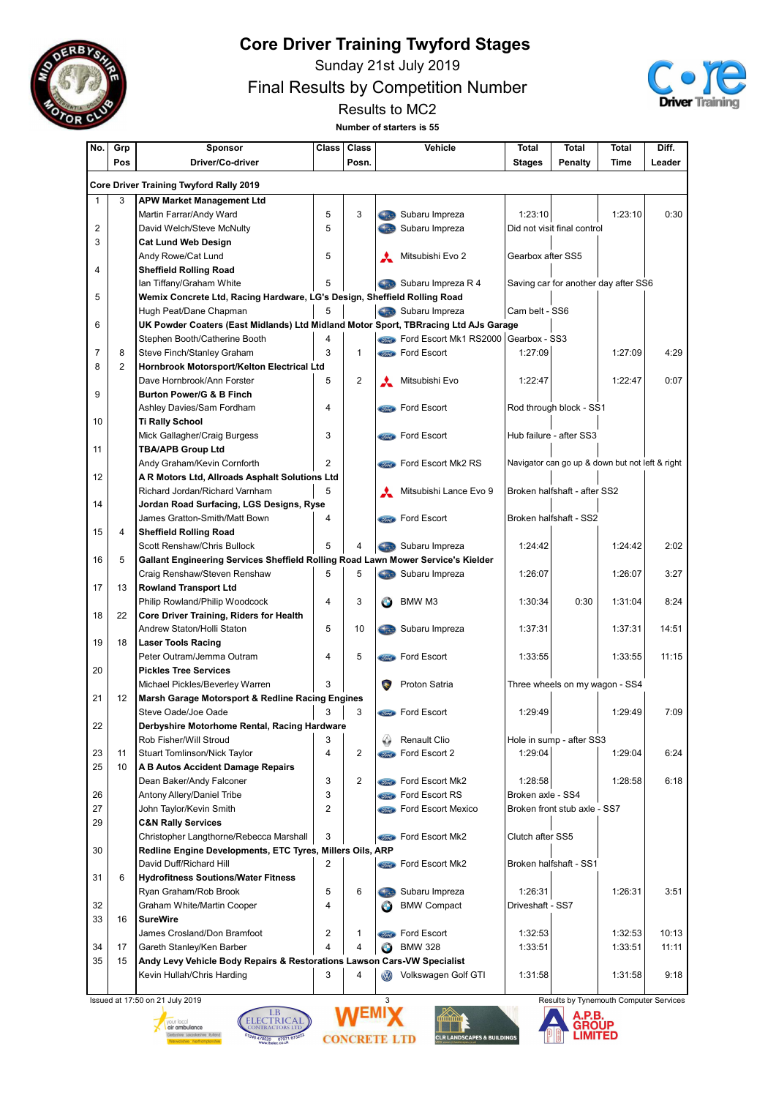

Sunday 21st July 2019

Final Results by Competition Number



Results to MC2 Number of starters is 55

| No.                     | Grp            | Sponsor                                                                             |                | <b>Class</b>   |                           | Vehicle                              | <b>Total</b>      | <b>Total</b>                                    | Total       | Diff.  |
|-------------------------|----------------|-------------------------------------------------------------------------------------|----------------|----------------|---------------------------|--------------------------------------|-------------------|-------------------------------------------------|-------------|--------|
|                         | Pos            | Driver/Co-driver                                                                    |                | Posn.          |                           |                                      | <b>Stages</b>     | Penalty                                         | <b>Time</b> | Leader |
|                         |                |                                                                                     |                |                |                           |                                      |                   |                                                 |             |        |
|                         |                | <b>Core Driver Training Twyford Rally 2019</b>                                      |                |                |                           |                                      |                   |                                                 |             |        |
| 1                       | 3              | <b>APW Market Management Ltd</b>                                                    |                |                |                           |                                      |                   |                                                 |             |        |
|                         |                | Martin Farrar/Andy Ward                                                             | 5              | 3              |                           | Subaru Impreza                       | 1:23:10           |                                                 | 1:23:10     | 0:30   |
| $\overline{2}$          |                | David Welch/Steve McNulty                                                           | 5              |                |                           | Subaru Impreza                       |                   | Did not visit final control                     |             |        |
| 3                       |                | <b>Cat Lund Web Design</b>                                                          |                |                |                           |                                      |                   |                                                 |             |        |
|                         |                | Andy Rowe/Cat Lund                                                                  | 5              |                |                           | Mitsubishi Evo 2                     | Gearbox after SS5 |                                                 |             |        |
| $\overline{\mathbf{4}}$ |                | <b>Sheffield Rolling Road</b>                                                       |                |                |                           |                                      |                   |                                                 |             |        |
|                         |                | Ian Tiffany/Graham White                                                            | 5              |                |                           | Subaru Impreza R 4                   |                   | Saving car for another day after SS6            |             |        |
| 5                       |                | Wemix Concrete Ltd, Racing Hardware, LG's Design, Sheffield Rolling Road            |                |                |                           |                                      |                   |                                                 |             |        |
|                         |                | Hugh Peat/Dane Chapman                                                              | 5              |                |                           | Subaru Impreza                       | Cam belt - SS6    |                                                 |             |        |
| 6                       |                | UK Powder Coaters (East Midlands) Ltd Midland Motor Sport, TBRracing Ltd AJs Garage |                |                |                           |                                      |                   |                                                 |             |        |
|                         |                | Stephen Booth/Catherine Booth                                                       | 4              |                |                           | Ford Escort Mk1 RS2000 Gearbox - SS3 |                   |                                                 |             |        |
| 7                       | 8              | Steve Finch/Stanley Graham                                                          | 3              | $\mathbf{1}$   |                           | Ford Escort                          | 1:27:09           |                                                 | 1:27:09     | 4:29   |
| 8                       | $\overline{2}$ | Hornbrook Motorsport/Kelton Electrical Ltd                                          |                |                |                           |                                      |                   |                                                 |             |        |
|                         |                | Dave Hornbrook/Ann Forster                                                          | 5              | 2              |                           | Mitsubishi Evo                       | 1:22:47           |                                                 | 1:22:47     | 0:07   |
| 9                       |                | <b>Burton Power/G &amp; B Finch</b>                                                 |                |                |                           |                                      |                   |                                                 |             |        |
|                         |                | Ashley Davies/Sam Fordham                                                           | 4              |                |                           | <b>Component</b> Ford Escort         |                   | Rod through block - SS1                         |             |        |
| 10                      |                | <b>Ti Rally School</b>                                                              |                |                |                           |                                      |                   |                                                 |             |        |
|                         |                | Mick Gallagher/Craig Burgess                                                        | 3              |                |                           | <b>Store Ford Escort</b>             |                   | Hub failure - after SS3                         |             |        |
| 11                      |                | <b>TBA/APB Group Ltd</b>                                                            |                |                |                           |                                      |                   |                                                 |             |        |
|                         |                | Andy Graham/Kevin Cornforth                                                         | 2              |                |                           | <b>Come</b> Ford Escort Mk2 RS       |                   | Navigator can go up & down but not left & right |             |        |
| 12                      |                | A R Motors Ltd, Allroads Asphalt Solutions Ltd                                      |                |                |                           |                                      |                   |                                                 |             |        |
|                         |                | Richard Jordan/Richard Varnham                                                      | 5              |                |                           | Mitsubishi Lance Evo 9               |                   | Broken halfshaft - after SS2                    |             |        |
| 14                      |                | Jordan Road Surfacing, LGS Designs, Ryse                                            |                |                |                           |                                      |                   |                                                 |             |        |
|                         |                | James Gratton-Smith/Matt Bown                                                       | 4              |                |                           | <b>Come</b> Ford Escort              |                   | Broken halfshaft - SS2                          |             |        |
| 15                      | 4              | <b>Sheffield Rolling Road</b>                                                       |                |                |                           |                                      |                   |                                                 |             |        |
|                         |                | Scott Renshaw/Chris Bullock                                                         | 5              | 4              |                           | Subaru Impreza                       | 1:24:42           |                                                 | 1:24:42     | 2:02   |
| 16                      | 5              | Gallant Engineering Services Sheffield Rolling Road Lawn Mower Service's Kielder    |                |                |                           |                                      |                   |                                                 |             |        |
|                         |                | Craig Renshaw/Steven Renshaw                                                        | 5              | 5              |                           | Subaru Impreza                       | 1:26:07           |                                                 | 1:26:07     | 3:27   |
| 17                      | 13             | <b>Rowland Transport Ltd</b>                                                        |                |                |                           |                                      |                   |                                                 |             |        |
|                         |                | Philip Rowland/Philip Woodcock                                                      | 4              | 3              |                           | BMW M3                               | 1:30:34           | 0:30                                            | 1:31:04     | 8:24   |
| 18                      | 22             | <b>Core Driver Training, Riders for Health</b>                                      |                |                |                           |                                      |                   |                                                 |             |        |
|                         |                | Andrew Staton/Holli Staton                                                          | 5              | 10             |                           | Subaru Impreza                       | 1:37:31           |                                                 | 1:37:31     | 14:51  |
| 19                      | 18             | <b>Laser Tools Racing</b>                                                           |                |                |                           |                                      |                   |                                                 |             |        |
|                         |                | Peter Outram/Jemma Outram                                                           | 4              | 5              |                           | <b>Sind</b> Ford Escort              | 1:33:55           |                                                 | 1:33:55     | 11:15  |
| 20                      |                | <b>Pickles Tree Services</b>                                                        |                |                |                           |                                      |                   |                                                 |             |        |
|                         |                | Michael Pickles/Beverley Warren                                                     | 3              |                | $\bullet$                 | Proton Satria                        |                   | Three wheels on my wagon - SS4                  |             |        |
| 21                      | 12             | Marsh Garage Motorsport & Redline Racing Engines                                    |                |                |                           |                                      |                   |                                                 |             |        |
|                         |                | Steve Oade/Joe Oade                                                                 | 3              | 3              |                           | <b>Component</b> Ford Escort         | 1:29:49           |                                                 | 1:29:49     | 7:09   |
| 22                      |                | Derbyshire Motorhome Rental, Racing Hardware                                        |                |                |                           |                                      |                   |                                                 |             |        |
|                         |                | Rob Fisher/Will Stroud                                                              | 3              |                |                           | Renault Clio                         |                   | Hole in sump - after SS3                        |             |        |
| 23                      | 11             | Stuart Tomlinson/Nick Taylor                                                        | 4              | 2              |                           | <b>Compose</b> Ford Escort 2         | 1:29:04           |                                                 | 1:29:04     | 6:24   |
| 25                      | 10             | A B Autos Accident Damage Repairs                                                   |                |                |                           |                                      |                   |                                                 |             |        |
|                         |                | Dean Baker/Andy Falconer                                                            | 3              | $\overline{2}$ |                           | <b>Street</b> Ford Escort Mk2        | 1:28:58           |                                                 | 1:28:58     | 6:18   |
| 26                      |                | Antony Allery/Daniel Tribe                                                          | 3              |                |                           | <b>State</b> Ford Escort RS          | Broken axle - SS4 |                                                 |             |        |
| 27                      |                | John Taylor/Kevin Smith                                                             | $\overline{2}$ |                |                           | <b>Street Ford Escort Mexico</b>     |                   | Broken front stub axle - SS7                    |             |        |
| 29                      |                | <b>C&amp;N Rally Services</b>                                                       |                |                |                           |                                      |                   |                                                 |             |        |
|                         |                | Christopher Langthorne/Rebecca Marshall                                             | 3              |                |                           | <b>Compact Ford Escort Mk2</b>       | Clutch after SS5  |                                                 |             |        |
| 30                      |                | Redline Engine Developments, ETC Tyres, Millers Oils, ARP                           |                |                |                           |                                      |                   |                                                 |             |        |
|                         |                | David Duff/Richard Hill                                                             | 2              |                |                           | Ford Escort Mk2                      |                   | Broken halfshaft - SS1                          |             |        |
| 31                      | 6              | <b>Hydrofitness Soutions/Water Fitness</b>                                          |                |                |                           |                                      |                   |                                                 |             |        |
|                         |                | Ryan Graham/Rob Brook                                                               | 5              | 6              |                           | Subaru Impreza                       | 1:26:31           |                                                 | 1:26:31     | 3:51   |
| 32                      |                | Graham White/Martin Cooper                                                          | 4              |                | Θ                         | <b>BMW Compact</b>                   | Driveshaft - SS7  |                                                 |             |        |
| 33                      | 16             | <b>SureWire</b>                                                                     |                |                |                           |                                      |                   |                                                 |             |        |
|                         |                | James Crosland/Don Bramfoot                                                         | 2              | 1              | <i><u><b>Sord</b></u></i> | Ford Escort                          | 1:32:53           |                                                 | 1:32:53     | 10:13  |
| 34                      | 17             | Gareth Stanley/Ken Barber                                                           | 4              | 4              | Θ                         | <b>BMW 328</b>                       | 1:33:51           |                                                 | 1:33:51     | 11:11  |
| 35                      | 15             | Andy Levy Vehicle Body Repairs & Restorations Lawson Cars-VW Specialist             |                |                |                           |                                      |                   |                                                 |             |        |
|                         |                | Kevin Hullah/Chris Harding                                                          | 3              | 4              | $\circledR$               | Volkswagen Golf GTI                  | 1:31:58           |                                                 | 1:31:58     | 9:18   |
|                         |                |                                                                                     |                |                |                           |                                      |                   |                                                 |             |        |









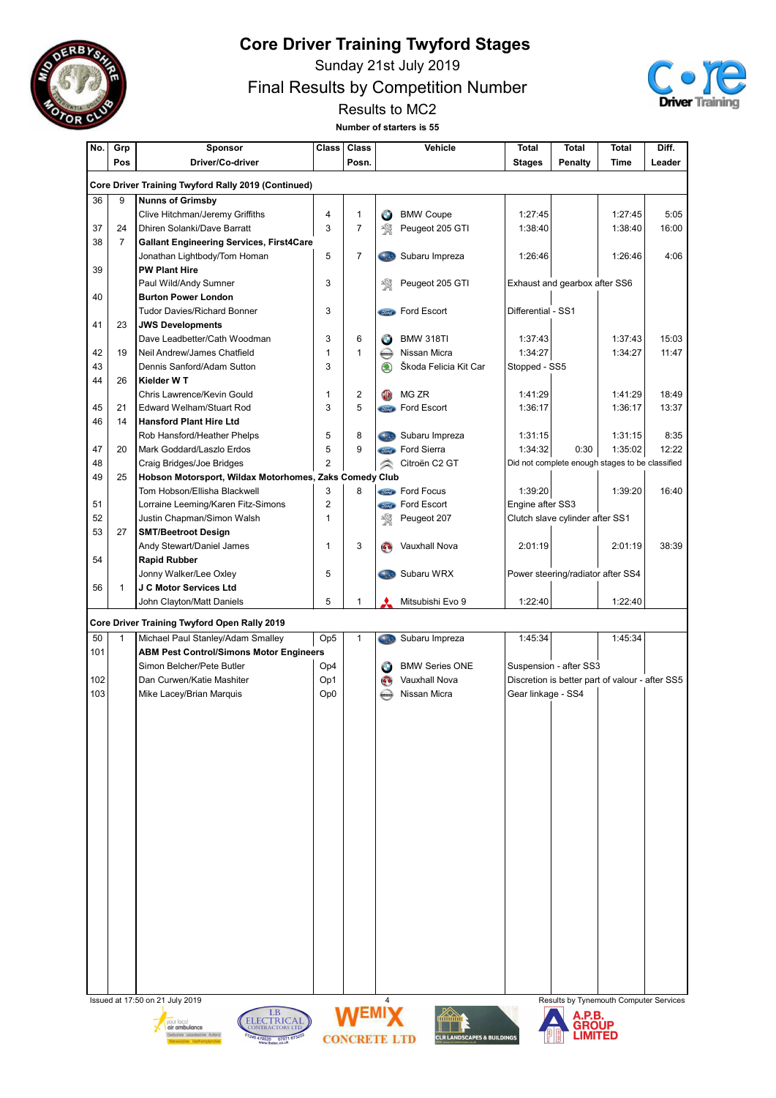

Sunday 21st July 2019

Final Results by Competition Number



Results to MC2 Number of starters is 55

| No.      | Grp                  | Sponsor                                                                             | <b>Class</b>    | <b>Class</b>        |                      | Vehicle                               | <b>Total</b>       | <b>Total</b>                                    | <b>Total</b> | Diff.  |
|----------|----------------------|-------------------------------------------------------------------------------------|-----------------|---------------------|----------------------|---------------------------------------|--------------------|-------------------------------------------------|--------------|--------|
|          | Pos                  | Driver/Co-driver                                                                    |                 | Posn.               |                      |                                       | <b>Stages</b>      | Penalty                                         | Time         | Leader |
|          |                      |                                                                                     |                 |                     |                      |                                       |                    |                                                 |              |        |
|          |                      | Core Driver Training Twyford Rally 2019 (Continued)                                 |                 |                     |                      |                                       |                    |                                                 |              |        |
| 36       | 9                    | <b>Nunns of Grimsby</b>                                                             |                 |                     |                      |                                       |                    |                                                 |              |        |
|          |                      | Clive Hitchman/Jeremy Griffiths                                                     | 4               | 1                   | G                    | <b>BMW Coupe</b>                      | 1:27:45            |                                                 | 1:27:45      | 5:05   |
| 37<br>38 | 24<br>$\overline{7}$ | Dhiren Solanki/Dave Barratt                                                         | 3               | $\overline{7}$      | 饗                    | Peugeot 205 GTI                       | 1:38:40            |                                                 | 1:38:40      | 16:00  |
|          |                      | <b>Gallant Engineering Services, First4Care</b>                                     | 5               | $\overline{7}$      | 5.3                  | Subaru Impreza                        | 1:26:46            |                                                 | 1:26:46      | 4:06   |
| 39       |                      | Jonathan Lightbody/Tom Homan<br><b>PW Plant Hire</b>                                |                 |                     |                      |                                       |                    |                                                 |              |        |
|          |                      | Paul Wild/Andy Sumner                                                               | 3               |                     | ₩                    | Peugeot 205 GTI                       |                    | Exhaust and gearbox after SS6                   |              |        |
| 40       |                      | <b>Burton Power London</b>                                                          |                 |                     |                      |                                       |                    |                                                 |              |        |
|          |                      | <b>Tudor Davies/Richard Bonner</b>                                                  | 3               |                     |                      | <b>Sond</b> Ford Escort               | Differential - SS1 |                                                 |              |        |
| 41       | 23                   | <b>JWS Developments</b>                                                             |                 |                     |                      |                                       |                    |                                                 |              |        |
|          |                      | Dave Leadbetter/Cath Woodman                                                        | 3               | 6                   | G                    | <b>BMW 318TI</b>                      | 1:37:43            |                                                 | 1:37:43      | 15:03  |
| 42       | 19                   | Neil Andrew/James Chatfield                                                         | 1               | 1                   | <b>WESAW</b>         | Nissan Micra                          | 1:34:27            |                                                 | 1:34:27      | 11:47  |
| 43       |                      | Dennis Sanford/Adam Sutton                                                          | 3               |                     | $\circledast$        | Škoda Felicia Kit Car                 | Stopped - SS5      |                                                 |              |        |
| 44       | 26                   | Kielder WT                                                                          |                 |                     |                      |                                       |                    |                                                 |              |        |
|          |                      | Chris Lawrence/Kevin Gould                                                          | 1               | $\overline{2}$      | (ID)                 | MG ZR                                 | 1:41:29            |                                                 | 1:41:29      | 18:49  |
| 45       | 21                   | <b>Edward Welham/Stuart Rod</b>                                                     | 3               | 5                   |                      | <b>Compa</b> Ford Escort              | 1:36:17            |                                                 | 1:36:17      | 13:37  |
| 46       | 14                   | <b>Hansford Plant Hire Ltd</b>                                                      |                 |                     |                      |                                       |                    |                                                 |              |        |
|          |                      | Rob Hansford/Heather Phelps                                                         | 5               | 8                   | <b>Contract</b>      | Subaru Impreza                        | 1:31:15            |                                                 | 1:31:15      | 8:35   |
| 47       | 20                   | Mark Goddard/Laszlo Erdos                                                           | 5               | 9                   | <b><i>Stored</i></b> | <b>Ford Sierra</b>                    | 1:34:32            | 0:30                                            | 1:35:02      | 12:22  |
| 48       |                      | Craig Bridges/Joe Bridges                                                           | $\overline{2}$  |                     | ☎                    | Citroën C2 GT                         |                    | Did not complete enough stages to be classified |              |        |
| 49       | 25                   | Hobson Motorsport, Wildax Motorhomes, Zaks Comedy Club                              |                 |                     |                      |                                       |                    |                                                 |              |        |
|          |                      | Tom Hobson/Ellisha Blackwell                                                        | 3               | 8                   |                      | <b>Street</b> Ford Focus              | 1:39:20            |                                                 | 1:39:20      | 16:40  |
| 51       |                      | Lorraine Leeming/Karen Fitz-Simons                                                  | $\overline{2}$  |                     |                      | <b>Storet</b> Ford Escort             | Engine after SS3   |                                                 |              |        |
| 52       |                      | Justin Chapman/Simon Walsh                                                          | 1               |                     | 饗                    | Peugeot 207                           |                    | Clutch slave cylinder after SS1                 |              |        |
| 53       | 27                   | <b>SMT/Beetroot Design</b>                                                          |                 |                     |                      |                                       |                    |                                                 |              |        |
|          |                      | Andy Stewart/Daniel James                                                           | 1               | 3                   | æ,                   | Vauxhall Nova                         | 2:01:19            |                                                 | 2:01:19      | 38:39  |
| 54       |                      | <b>Rapid Rubber</b>                                                                 |                 |                     |                      |                                       |                    |                                                 |              |        |
|          |                      | Jonny Walker/Lee Oxley                                                              | 5               |                     |                      | Subaru WRX                            |                    | Power steering/radiator after SS4               |              |        |
| 56       | 1                    | J C Motor Services Ltd                                                              |                 |                     |                      |                                       |                    |                                                 |              |        |
|          |                      | John Clayton/Matt Daniels                                                           | 5               | 1                   |                      | Mitsubishi Evo 9                      | 1:22:40            |                                                 | 1:22:40      |        |
|          |                      |                                                                                     |                 |                     |                      |                                       |                    |                                                 |              |        |
| 50       | 1                    | Core Driver Training Twyford Open Rally 2019                                        | Op <sub>5</sub> | $\mathbf{1}$        |                      |                                       | 1:45:34            |                                                 | 1:45:34      |        |
| 101      |                      | Michael Paul Stanley/Adam Smalley<br><b>ABM Pest Control/Simons Motor Engineers</b> |                 |                     | 5.3                  | Subaru Impreza                        |                    |                                                 |              |        |
|          |                      | Simon Belcher/Pete Butler                                                           | Op4             |                     |                      | <b>BMW Series ONE</b>                 |                    | Suspension - after SS3                          |              |        |
| 102      |                      | Dan Curwen/Katie Mashiter                                                           | Op1             |                     | G<br>O)              | <b>Vauxhall Nova</b>                  |                    | Discretion is better part of valour - after SS5 |              |        |
| 103      |                      | Mike Lacey/Brian Marquis                                                            | Op <sub>0</sub> |                     | MSSAN                | Nissan Micra                          | Gear linkage - SS4 |                                                 |              |        |
|          |                      |                                                                                     |                 |                     |                      |                                       |                    |                                                 |              |        |
|          |                      |                                                                                     |                 |                     |                      |                                       |                    |                                                 |              |        |
|          |                      |                                                                                     |                 |                     |                      |                                       |                    |                                                 |              |        |
|          |                      |                                                                                     |                 |                     |                      |                                       |                    |                                                 |              |        |
|          |                      |                                                                                     |                 |                     |                      |                                       |                    |                                                 |              |        |
|          |                      |                                                                                     |                 |                     |                      |                                       |                    |                                                 |              |        |
|          |                      |                                                                                     |                 |                     |                      |                                       |                    |                                                 |              |        |
|          |                      |                                                                                     |                 |                     |                      |                                       |                    |                                                 |              |        |
|          |                      |                                                                                     |                 |                     |                      |                                       |                    |                                                 |              |        |
|          |                      |                                                                                     |                 |                     |                      |                                       |                    |                                                 |              |        |
|          |                      |                                                                                     |                 |                     |                      |                                       |                    |                                                 |              |        |
|          |                      |                                                                                     |                 |                     |                      |                                       |                    |                                                 |              |        |
|          |                      |                                                                                     |                 |                     |                      |                                       |                    |                                                 |              |        |
|          |                      |                                                                                     |                 |                     |                      |                                       |                    |                                                 |              |        |
|          |                      |                                                                                     |                 |                     |                      |                                       |                    |                                                 |              |        |
|          |                      |                                                                                     |                 |                     |                      |                                       |                    |                                                 |              |        |
|          |                      |                                                                                     |                 |                     |                      |                                       |                    |                                                 |              |        |
|          |                      |                                                                                     |                 |                     |                      |                                       |                    |                                                 |              |        |
|          |                      |                                                                                     |                 |                     |                      |                                       |                    |                                                 |              |        |
|          |                      |                                                                                     |                 |                     |                      |                                       |                    |                                                 |              |        |
|          |                      |                                                                                     |                 |                     |                      |                                       |                    |                                                 |              |        |
|          |                      |                                                                                     |                 |                     |                      |                                       |                    |                                                 |              |        |
|          |                      | Issued at 17:50 on 21 July 2019                                                     |                 |                     | 4                    |                                       |                    | Results by Tynemouth Computer Services          |              |        |
|          |                      | LB<br><b>ELECTRICAL</b><br>our local                                                |                 | <b>NEMI</b>         |                      | ,,,,,,,,,,                            |                    | A.P.B.                                          |              |        |
|          |                      | air ambulance<br><b>ONTRACTORS LTD</b><br>Derbyshire Leicestershire Rutland         |                 |                     |                      |                                       |                    | <b>GROUP</b><br>LIMITED                         |              |        |
|          |                      | 01246 470520 07971 67322                                                            |                 | <b>CONCRETE LTD</b> |                      | <b>CLR LANDSCAPES &amp; BUILDINGS</b> |                    |                                                 |              |        |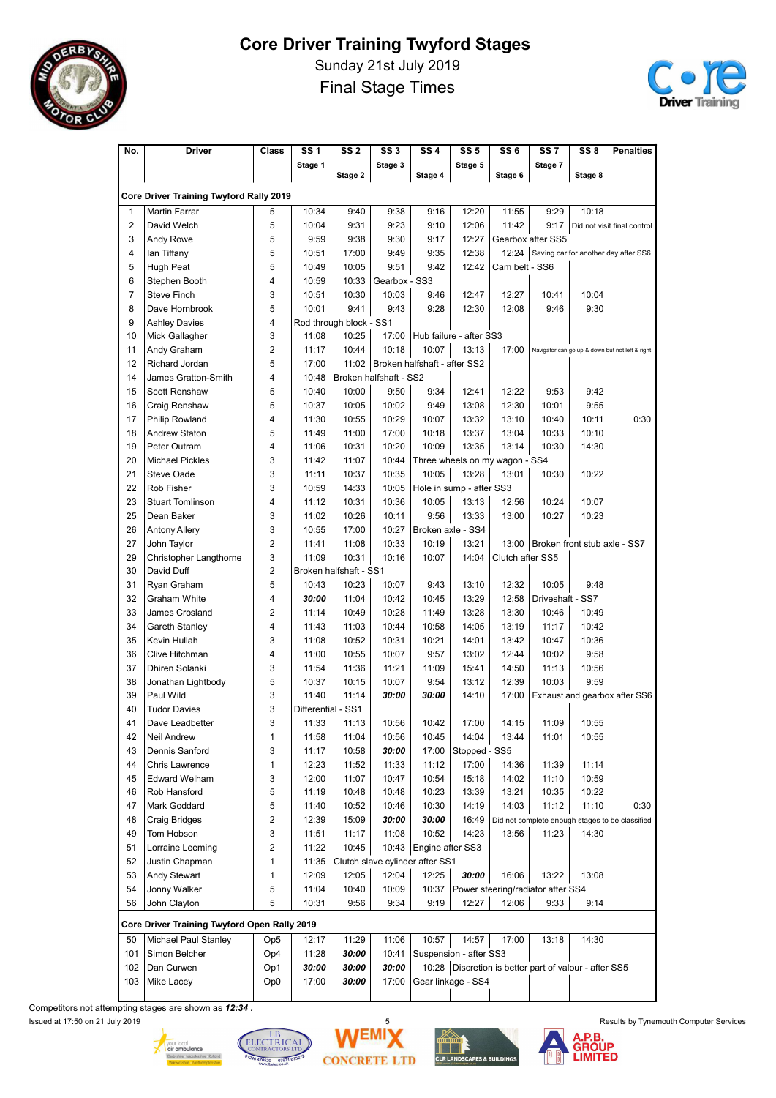

Sunday 21st July 2019 Final Stage Times



| No.            | Driver                                       | <b>Class</b>    | SS <sub>1</sub>    | SS <sub>2</sub>         | SS <sub>3</sub>        | SS <sub>4</sub>                      | SS 5                                                    | SS <sub>6</sub>  | SS 7                              | SS <sub>8</sub>              | <b>Penalties</b>                                |
|----------------|----------------------------------------------|-----------------|--------------------|-------------------------|------------------------|--------------------------------------|---------------------------------------------------------|------------------|-----------------------------------|------------------------------|-------------------------------------------------|
|                |                                              |                 | Stage 1            |                         | Stage 3                |                                      | Stage 5                                                 |                  | Stage 7                           |                              |                                                 |
|                |                                              |                 |                    | Stage 2                 |                        | Stage 4                              |                                                         | Stage 6          |                                   | Stage 8                      |                                                 |
|                | Core Driver Training Twyford Rally 2019      |                 |                    |                         |                        |                                      |                                                         |                  |                                   |                              |                                                 |
| 1              | <b>Martin Farrar</b>                         | 5               | 10:34              | 9:40                    | 9:38                   | 9:16                                 | 12:20                                                   | 11:55            | 9:29                              | 10:18                        |                                                 |
| $\overline{2}$ | David Welch                                  | 5               | 10:04              | 9:31                    | 9:23                   | 9:10                                 | 12:06                                                   | 11:42            | 9:17                              |                              | Did not visit final control                     |
| 3              | Andy Rowe                                    | 5               | 9:59               | 9:38                    | 9:30                   | 9:17                                 | 12:27                                                   |                  | Gearbox after SS5                 |                              |                                                 |
| 4              | lan Tiffany                                  | 5               | 10:51              | 17:00                   | 9:49                   | 9:35                                 | 12:38                                                   |                  |                                   |                              | 12:24 Saving car for another day after SS6      |
| 5              | Hugh Peat                                    | 5               | 10:49              | 10:05                   | 9:51                   | 9:42                                 | 12:42                                                   | Cam belt - SS6   |                                   |                              |                                                 |
| 6              | Stephen Booth                                | 4               | 10:59              | 10:33                   | Gearbox - SS3          |                                      |                                                         |                  |                                   |                              |                                                 |
| 7              | <b>Steve Finch</b>                           | 3               | 10:51              | 10:30                   | 10:03                  | 9:46                                 | 12:47                                                   | 12:27            | 10:41                             | 10:04                        |                                                 |
| 8              | Dave Hornbrook                               | 5               | 10:01              | 9:41                    | 9:43                   | 9:28                                 | 12:30                                                   | 12:08            | 9:46                              | 9:30                         |                                                 |
| 9              | <b>Ashley Davies</b>                         | 4               |                    | Rod through block - SS1 |                        |                                      |                                                         |                  |                                   |                              |                                                 |
| 10             | Mick Gallagher                               | 3               | 11:08              | 10:25                   | 17:00                  |                                      | Hub failure - after SS3                                 |                  |                                   |                              |                                                 |
| 11             | Andy Graham                                  | 2               | 11:17              | 10:44                   | 10:18                  | 10:07                                | 13:13                                                   | 17:00            |                                   |                              | Navigator can go up & down but not left & right |
| 12             | Richard Jordan                               | 5               | 17:00              |                         |                        | 11:02   Broken halfshaft - after SS2 |                                                         |                  |                                   |                              |                                                 |
| 14             | James Gratton-Smith                          | 4               | 10:48              |                         | Broken halfshaft - SS2 |                                      |                                                         |                  |                                   |                              |                                                 |
| 15             | <b>Scott Renshaw</b>                         | 5               | 10:40              | 10:00                   | 9:50                   | 9:34                                 | 12:41                                                   | 12:22            | 9:53                              | 9:42                         |                                                 |
|                |                                              | 5               | 10:37              |                         | 10:02                  | 9:49                                 | 13:08                                                   | 12:30            | 10:01                             | 9:55                         |                                                 |
| 16             | Craig Renshaw                                | 4               |                    | 10:05                   |                        | 10:07                                |                                                         |                  |                                   |                              |                                                 |
| 17             | <b>Philip Rowland</b>                        |                 | 11:30              | 10:55                   | 10:29                  |                                      | 13:32                                                   | 13:10            | 10:40                             | 10:11                        | 0:30                                            |
| 18             | <b>Andrew Staton</b>                         | 5               | 11:49              | 11:00                   | 17:00                  | 10:18                                | 13:37                                                   | 13:04            | 10:33                             | 10:10                        |                                                 |
| 19             | Peter Outram                                 | 4               | 11:06              | 10:31                   | 10:20                  | 10:09                                | 13:35                                                   | 13:14            | 10:30                             | 14:30                        |                                                 |
| 20             | <b>Michael Pickles</b>                       | 3               | 11:42              | 11:07                   | 10:44                  |                                      | Three wheels on my wagon - SS4                          |                  |                                   |                              |                                                 |
| 21             | <b>Steve Oade</b>                            | 3               | 11:11              | 10:37                   | 10:35                  | 10:05                                | 13:28                                                   | 13:01            | 10:30                             | 10:22                        |                                                 |
| 22             | Rob Fisher                                   | 3               | 10:59              | 14:33                   | 10:05                  |                                      | Hole in sump - after SS3                                |                  |                                   |                              |                                                 |
| 23             | <b>Stuart Tomlinson</b>                      | 4               | 11:12              | 10:31                   | 10:36                  | 10:05                                | 13:13                                                   | 12:56            | 10:24                             | 10:07                        |                                                 |
| 25             | Dean Baker                                   | 3               | 11:02              | 10:26                   | 10:11                  | 9:56                                 | 13:33                                                   | 13:00            | 10:27                             | 10:23                        |                                                 |
| 26             | <b>Antony Allery</b>                         | 3               | 10:55              | 17:00                   | 10:27                  | Broken axle - SS4                    |                                                         |                  |                                   |                              |                                                 |
| 27             | John Taylor                                  | 2               | 11:41              | 11:08                   | 10:33                  | 10:19                                | 13:21                                                   | 13:00            |                                   | Broken front stub axle - SS7 |                                                 |
| 29             | Christopher Langthorne                       | 3               | 11:09              | 10:31                   | 10:16                  | 10:07                                | 14:04                                                   | Clutch after SS5 |                                   |                              |                                                 |
| 30             | David Duff                                   | 2               |                    | Broken halfshaft - SS1  |                        |                                      |                                                         |                  |                                   |                              |                                                 |
| 31             | Ryan Graham                                  | 5               | 10:43              | 10:23                   | 10:07                  | 9:43                                 | 13:10                                                   | 12:32            | 10:05                             | 9:48                         |                                                 |
| 32             | Graham White                                 | 4               | 30:00              | 11:04                   | 10:42                  | 10:45                                | 13:29                                                   | 12:58            | Driveshaft - SS7                  |                              |                                                 |
| 33             | James Crosland                               | $\overline{2}$  | 11:14              | 10:49                   | 10:28                  | 11:49                                | 13:28                                                   | 13:30            | 10:46                             | 10:49                        |                                                 |
| 34             | Gareth Stanley                               | 4               | 11:43              | 11:03                   | 10:44                  | 10:58                                | 14:05                                                   | 13:19            | 11:17                             | 10:42                        |                                                 |
| 35             | Kevin Hullah                                 | 3               | 11:08              | 10:52                   | 10:31                  | 10:21                                | 14:01                                                   | 13:42            | 10:47                             | 10:36                        |                                                 |
| 36             | Clive Hitchman                               | 4               | 11:00              | 10:55                   | 10:07                  | 9:57                                 | 13:02                                                   | 12:44            | 10:02                             | 9:58                         |                                                 |
| 37             | Dhiren Solanki                               | 3               | 11:54              | 11:36                   | 11:21                  | 11:09                                | 15:41                                                   | 14:50            | 11:13                             | 10:56                        |                                                 |
| 38             | Jonathan Lightbody                           | 5               | 10:37              | 10:15                   | 10:07                  | 9:54                                 | 13:12                                                   | 12:39            | 10:03                             | 9:59                         |                                                 |
| 39             | Paul Wild                                    | 3               | 11:40              | 11:14                   | 30:00                  | 30:00                                | 14:10                                                   | 17:00            |                                   |                              | Exhaust and gearbox after SS6                   |
| 40             | <b>Tudor Davies</b>                          | 3               | Differential - SS1 |                         |                        |                                      |                                                         |                  |                                   |                              |                                                 |
| 41             | Dave Leadbetter                              | 3               | 11:33              | 11:13                   | 10:56                  | 10:42                                | 17:00                                                   | 14:15            | 11:09                             | 10:55                        |                                                 |
| 42             | Neil Andrew                                  | 1               | 11:58              | 11:04                   | 10:56                  | 10:45                                | 14:04                                                   | 13:44            | 11:01                             | 10:55                        |                                                 |
| 43             | Dennis Sanford                               | 3               | 11:17              | 10:58                   | 30:00                  | 17:00                                | Stopped - SS5                                           |                  |                                   |                              |                                                 |
| 44             | Chris Lawrence                               | 1               | 12:23              | 11:52                   | 11:33                  | 11:12                                | 17:00                                                   | 14:36            | 11:39                             | 11:14                        |                                                 |
| 45             | <b>Edward Welham</b>                         | 3               | 12:00              | 11:07                   | 10:47                  | 10:54                                | 15:18                                                   | 14:02            | 11:10                             | 10:59                        |                                                 |
| 46             | Rob Hansford                                 | 5               | 11:19              | 10:48                   | 10:48                  | 10:23                                | 13:39                                                   | 13:21            | 10:35                             | 10:22                        |                                                 |
| 47             | Mark Goddard                                 | 5               | 11:40              | 10:52                   | 10:46                  | 10:30                                | 14:19                                                   | 14:03            | 11:12                             | 11:10                        | 0:30                                            |
| 48             | Craig Bridges                                | $\overline{2}$  | 12:39              | 15:09                   | 30:00                  | 30:00                                | 16:49                                                   |                  |                                   |                              | Did not complete enough stages to be classified |
| 49             | Tom Hobson                                   | 3               | 11:51              | 11:17                   | 11:08                  | 10:52                                | 14:23                                                   | 13:56            | 11:23                             | 14:30                        |                                                 |
| 51             | Lorraine Leeming                             | 2               | 11:22              | 10:45                   | 10:43                  | Engine after SS3                     |                                                         |                  |                                   |                              |                                                 |
| 52             | Justin Chapman                               | 1               | 11:35              |                         |                        | Clutch slave cylinder after SS1      |                                                         |                  |                                   |                              |                                                 |
|                |                                              |                 |                    |                         |                        |                                      |                                                         |                  |                                   |                              |                                                 |
| 53             | Andy Stewart                                 | 1               | 12:09              | 12:05                   | 12:04                  | 12:25                                | 30:00                                                   | 16:06            | 13:22                             | 13:08                        |                                                 |
| 54             | Jonny Walker                                 | 5               | 11:04              | 10:40                   | 10:09                  | 10:37                                |                                                         |                  | Power steering/radiator after SS4 |                              |                                                 |
| 56             | John Clayton                                 | 5               | 10:31              | 9:56                    | 9:34                   | 9:19                                 | 12:27                                                   | 12:06            | 9:33                              | 9:14                         |                                                 |
|                | Core Driver Training Twyford Open Rally 2019 |                 |                    |                         |                        |                                      |                                                         |                  |                                   |                              |                                                 |
| 50             | Michael Paul Stanley                         | Op <sub>5</sub> | 12:17              | 11:29                   | 11:06                  | 10:57                                | 14:57                                                   | 17:00            | 13:18                             | 14:30                        |                                                 |
| 101            | Simon Belcher                                | Op4             | 11:28              | 30:00                   | 10:41                  |                                      | Suspension - after SS3                                  |                  |                                   |                              |                                                 |
| 102            | Dan Curwen                                   | Op1             | 30:00              | 30:00                   | 30:00                  |                                      | 10:28   Discretion is better part of valour - after SS5 |                  |                                   |                              |                                                 |
| 103            | Mike Lacey                                   | Op0             | 17:00              | 30:00                   | 17:00                  |                                      | Gear linkage - SS4                                      |                  |                                   |                              |                                                 |
|                |                                              |                 |                    |                         |                        |                                      |                                                         |                  |                                   |                              |                                                 |

Competitors not attempting stages are shown as 12:34 .









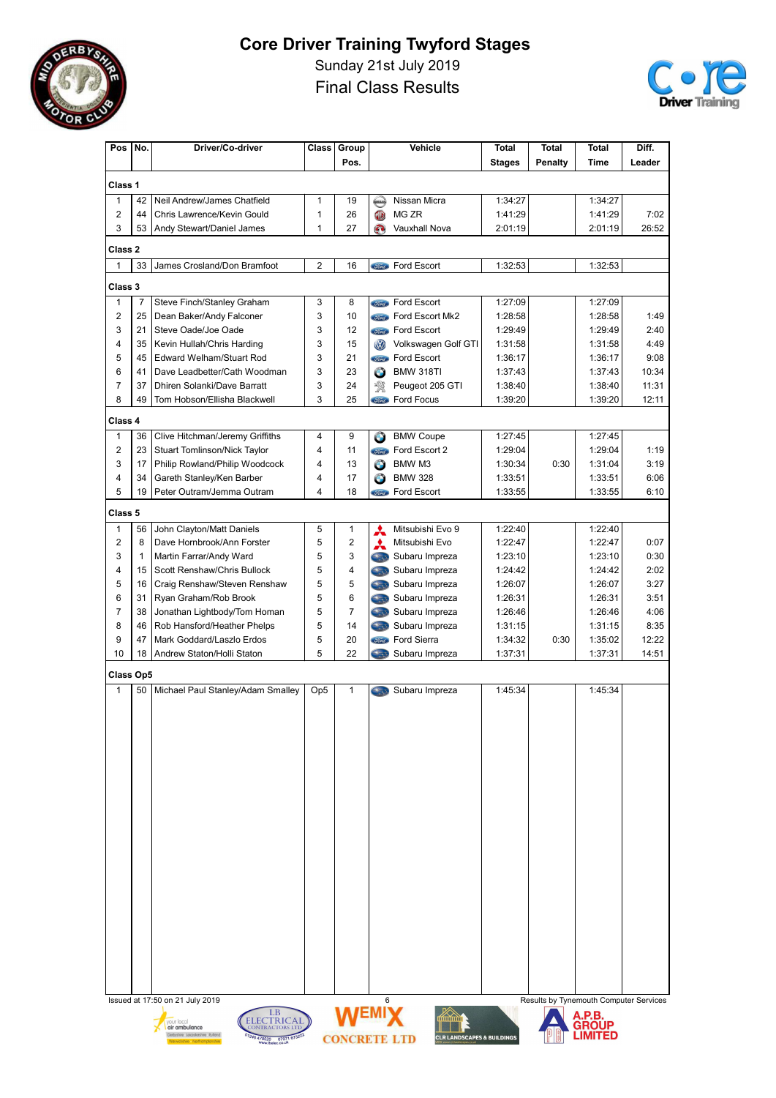

Sunday 21st July 2019 Final Class Results



| Pos l                          | No.                                                                            | Driver/Co-driver                                                             | Class                        | Group               |                     | Vehicle                                        | <b>Total</b>       | <b>Total</b>   | <b>Total</b>       | Diff.         |  |  |  |
|--------------------------------|--------------------------------------------------------------------------------|------------------------------------------------------------------------------|------------------------------|---------------------|---------------------|------------------------------------------------|--------------------|----------------|--------------------|---------------|--|--|--|
|                                |                                                                                |                                                                              |                              | Pos.                |                     |                                                | <b>Stages</b>      | <b>Penalty</b> | Time               | Leader        |  |  |  |
| Class 1                        |                                                                                |                                                                              |                              |                     |                     |                                                |                    |                |                    |               |  |  |  |
| $\mathbf{1}$                   | 42                                                                             | Neil Andrew/James Chatfield                                                  | 1                            | 19                  |                     | Nissan Micra                                   | 1:34:27            |                | 1:34:27            |               |  |  |  |
| $\overline{c}$                 | 44                                                                             | Chris Lawrence/Kevin Gould                                                   | 1                            | 26                  | <b>OB</b>           | MG ZR                                          | 1:41:29            |                | 1:41:29            | 7:02          |  |  |  |
| 3                              | 53                                                                             | Andy Stewart/Daniel James                                                    | 1                            | 27                  | G)                  | Vauxhall Nova                                  | 2:01:19            |                | 2:01:19            | 26:52         |  |  |  |
| Class 2                        |                                                                                |                                                                              |                              |                     |                     |                                                |                    |                |                    |               |  |  |  |
| $\mathbf{1}$                   | 33                                                                             | James Crosland/Don Bramfoot                                                  | 2                            | 16                  |                     | <b>Stingth</b> Ford Escort                     | 1:32:53            |                | 1:32:53            |               |  |  |  |
|                                |                                                                                |                                                                              |                              |                     |                     |                                                |                    |                |                    |               |  |  |  |
| Class 3                        |                                                                                |                                                                              |                              |                     |                     |                                                |                    |                |                    |               |  |  |  |
| $\mathbf{1}$                   | $\overline{7}$                                                                 | Steve Finch/Stanley Graham                                                   | 3                            | 8                   | <b><i>Sired</i></b> | Ford Escort                                    | 1:27:09            |                | 1:27:09            |               |  |  |  |
| $\overline{2}$                 | 25<br>21                                                                       | Dean Baker/Andy Falconer                                                     | 3                            | 10                  |                     | <b>Come</b> Ford Escort Mk2                    | 1:28:58            |                | 1:28:58            | 1:49          |  |  |  |
| 3<br>4                         | 35                                                                             | Steve Oade/Joe Oade<br>Kevin Hullah/Chris Harding                            | 3<br>3                       | 12<br>15            |                     | <b>Cond</b> Ford Escort<br>Volkswagen Golf GTI | 1:29:49<br>1:31:58 |                | 1:29:49<br>1:31:58 | 2:40<br>4:49  |  |  |  |
| 5                              | 45                                                                             | <b>Edward Welham/Stuart Rod</b>                                              | 3                            | 21                  | <b>OD</b>           | <b>Stored</b> Ford Escort                      | 1:36:17            |                | 1:36:17            | 9:08          |  |  |  |
| 6                              | 41                                                                             | Dave Leadbetter/Cath Woodman                                                 | 3                            | 23                  | $\bigcirc$          | <b>BMW 318TI</b>                               | 1:37:43            |                | 1:37:43            | 10:34         |  |  |  |
| $\overline{7}$                 | 37                                                                             | <b>Dhiren Solanki/Dave Barratt</b>                                           | 3                            | 24                  | 濖                   | Peugeot 205 GTI                                | 1:38:40            |                | 1:38:40            | 11:31         |  |  |  |
| 8                              | 49                                                                             | Tom Hobson/Ellisha Blackwell                                                 | 3                            | 25                  |                     | <b>Come</b> Ford Focus                         | 1:39:20            |                | 1:39:20            | 12:11         |  |  |  |
|                                |                                                                                |                                                                              |                              |                     |                     |                                                |                    |                |                    |               |  |  |  |
| Class 4                        |                                                                                |                                                                              |                              |                     |                     |                                                |                    |                |                    |               |  |  |  |
| $\mathbf{1}$<br>$\overline{c}$ | 36<br>23                                                                       | Clive Hitchman/Jeremy Griffiths<br>Stuart Tomlinson/Nick Taylor              | 4<br>$\overline{\mathbf{4}}$ | 9<br>11             | $\bigcirc$          | <b>BMW Coupe</b><br>Ford Escort 2              | 1:27:45<br>1:29:04 |                | 1:27:45<br>1:29:04 | 1:19          |  |  |  |
| 3                              |                                                                                |                                                                              | 4                            | 13                  | <i><b>Sond</b></i>  |                                                |                    |                |                    | 3:19          |  |  |  |
| 4                              | 17<br>34                                                                       | Philip Rowland/Philip Woodcock<br>Gareth Stanley/Ken Barber                  | 4                            | 17                  | Θ                   | BMW M3<br><b>BMW 328</b>                       | 1:30:34<br>1:33:51 | 0:30           | 1:31:04<br>1:33:51 | 6:06          |  |  |  |
| 5                              | 19                                                                             | Peter Outram/Jemma Outram                                                    | 4                            | 18                  | $\bullet$           | <b>Stingth</b> Ford Escort                     | 1:33:55            |                | 1:33:55            | 6:10          |  |  |  |
|                                |                                                                                |                                                                              |                              |                     |                     |                                                |                    |                |                    |               |  |  |  |
| Class 5                        |                                                                                |                                                                              |                              |                     |                     |                                                |                    |                |                    |               |  |  |  |
| $\mathbf{1}$                   | 56                                                                             | John Clayton/Matt Daniels                                                    | 5                            | 1                   | A                   | Mitsubishi Evo 9                               | 1:22:40            |                | 1:22:40            |               |  |  |  |
| $\overline{2}$                 | 8                                                                              | Dave Hornbrook/Ann Forster                                                   | 5                            | $\overline{c}$      | A                   | Mitsubishi Evo                                 | 1:22:47            |                | 1:22:47            | 0:07          |  |  |  |
| 3                              | $\mathbf{1}$                                                                   | Martin Farrar/Andy Ward                                                      | 5                            | 3                   |                     | Subaru Impreza                                 | 1:23:10            |                | 1:23:10            | 0:30          |  |  |  |
| 4                              | 15                                                                             | Scott Renshaw/Chris Bullock                                                  | 5                            | 4                   | 6.3                 | Subaru Impreza                                 | 1:24:42            |                | 1:24:42            | 2:02          |  |  |  |
| 5                              | 16                                                                             | Craig Renshaw/Steven Renshaw                                                 | 5                            | 5                   | <b>Cast</b>         | Subaru Impreza                                 | 1:26:07            |                | 1:26:07            | 3:27          |  |  |  |
| 6                              | 31                                                                             | Ryan Graham/Rob Brook                                                        | 5<br>5                       | 6                   | 6.39                | Subaru Impreza                                 | 1:26:31            |                | 1:26:31            | 3:51          |  |  |  |
| $\overline{7}$<br>8            | 38                                                                             | Jonathan Lightbody/Tom Homan                                                 | 5                            | 7<br>14             | 6.39                | Subaru Impreza                                 | 1:26:46            |                | 1:26:46            | 4:06          |  |  |  |
| 9                              | 46<br>47                                                                       | Rob Hansford/Heather Phelps<br>Mark Goddard/Laszlo Erdos                     | 5                            | 20                  |                     | Subaru Impreza<br><b>Stingth</b> Ford Sierra   | 1:31:15<br>1:34:32 | 0:30           | 1:31:15<br>1:35:02 | 8:35<br>12:22 |  |  |  |
| 10                             | 18                                                                             | Andrew Staton/Holli Staton                                                   | 5                            | 22                  | <b>Circle</b>       | Subaru Impreza                                 | 1:37:31            |                | 1:37:31            | 14:51         |  |  |  |
|                                |                                                                                |                                                                              |                              |                     |                     |                                                |                    |                |                    |               |  |  |  |
| Class Op5                      |                                                                                |                                                                              |                              |                     |                     |                                                |                    |                |                    |               |  |  |  |
| $\mathbf{1}$                   | 50                                                                             | Michael Paul Stanley/Adam Smalley                                            | Op <sub>5</sub>              | $\mathbf{1}$        | <b>Charles</b>      | Subaru Impreza                                 | 1:45:34            |                | 1:45:34            |               |  |  |  |
|                                |                                                                                |                                                                              |                              |                     |                     |                                                |                    |                |                    |               |  |  |  |
|                                |                                                                                |                                                                              |                              |                     |                     |                                                |                    |                |                    |               |  |  |  |
|                                |                                                                                |                                                                              |                              |                     |                     |                                                |                    |                |                    |               |  |  |  |
|                                |                                                                                |                                                                              |                              |                     |                     |                                                |                    |                |                    |               |  |  |  |
|                                |                                                                                |                                                                              |                              |                     |                     |                                                |                    |                |                    |               |  |  |  |
|                                |                                                                                |                                                                              |                              |                     |                     |                                                |                    |                |                    |               |  |  |  |
|                                |                                                                                |                                                                              |                              |                     |                     |                                                |                    |                |                    |               |  |  |  |
|                                |                                                                                |                                                                              |                              |                     |                     |                                                |                    |                |                    |               |  |  |  |
|                                |                                                                                |                                                                              |                              |                     |                     |                                                |                    |                |                    |               |  |  |  |
|                                |                                                                                |                                                                              |                              |                     |                     |                                                |                    |                |                    |               |  |  |  |
|                                |                                                                                |                                                                              |                              |                     |                     |                                                |                    |                |                    |               |  |  |  |
|                                |                                                                                |                                                                              |                              |                     |                     |                                                |                    |                |                    |               |  |  |  |
|                                |                                                                                |                                                                              |                              |                     |                     |                                                |                    |                |                    |               |  |  |  |
|                                |                                                                                |                                                                              |                              |                     |                     |                                                |                    |                |                    |               |  |  |  |
|                                |                                                                                |                                                                              |                              |                     |                     |                                                |                    |                |                    |               |  |  |  |
|                                |                                                                                |                                                                              |                              |                     |                     |                                                |                    |                |                    |               |  |  |  |
|                                |                                                                                |                                                                              |                              |                     |                     |                                                |                    |                |                    |               |  |  |  |
|                                |                                                                                |                                                                              |                              |                     |                     |                                                |                    |                |                    |               |  |  |  |
|                                |                                                                                |                                                                              |                              |                     |                     |                                                |                    |                |                    |               |  |  |  |
|                                |                                                                                |                                                                              |                              |                     |                     |                                                |                    |                |                    |               |  |  |  |
|                                | 6<br>Results by Tynemouth Computer Services<br>Issued at 17:50 on 21 July 2019 |                                                                              |                              |                     |                     |                                                |                    |                |                    |               |  |  |  |
|                                |                                                                                | LB<br><b>ELECTRICAL</b><br>vour local                                        |                              | <b>WEMIX</b>        |                     |                                                |                    |                | A.P.B.<br>GROUP    |               |  |  |  |
|                                |                                                                                | air ambulance<br><b>CONTRACTORS LTD</b><br>Derbyshire Leicestershire Rutland |                              |                     |                     |                                                |                    |                | LIMITED            |               |  |  |  |
|                                |                                                                                | 1246 470520 07971 67322<br>shire Northams                                    |                              | <b>CONCRETE LTD</b> |                     | <b>CLR LANDSCAPES &amp; BUILDINGS</b>          |                    |                |                    |               |  |  |  |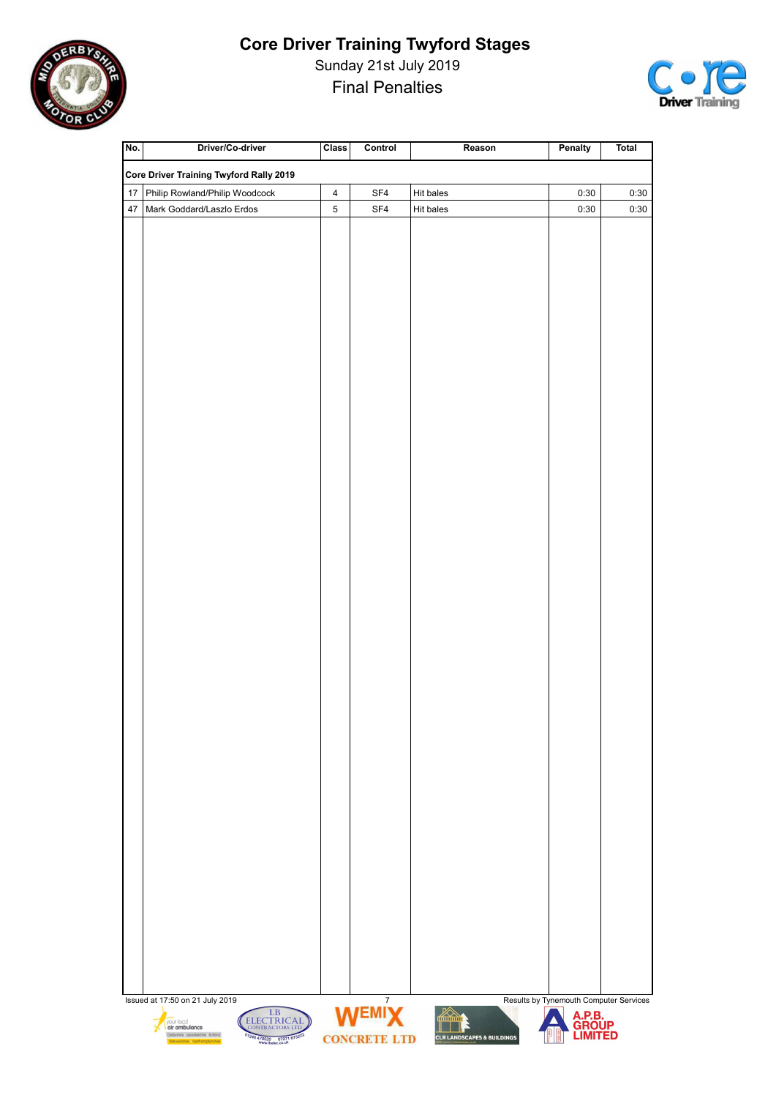

Sunday 21st July 2019 Final Penalties



| No. | Driver/Co-driver                                                                                                              | <b>Class</b>            | Control                          | Reason                                      | Penalty                                | <b>Total</b> |
|-----|-------------------------------------------------------------------------------------------------------------------------------|-------------------------|----------------------------------|---------------------------------------------|----------------------------------------|--------------|
|     | <b>Core Driver Training Twyford Rally 2019</b>                                                                                |                         |                                  |                                             |                                        |              |
| 17  | Philip Rowland/Philip Woodcock                                                                                                | $\overline{\mathbf{4}}$ | SF4                              | Hit bales                                   | 0:30                                   | 0:30         |
| 47  | Mark Goddard/Laszlo Erdos                                                                                                     | 5                       | SF4                              | Hit bales                                   | 0:30                                   | 0:30         |
|     |                                                                                                                               |                         |                                  |                                             |                                        |              |
|     |                                                                                                                               |                         |                                  |                                             |                                        |              |
|     |                                                                                                                               |                         |                                  |                                             |                                        |              |
|     |                                                                                                                               |                         |                                  |                                             |                                        |              |
|     |                                                                                                                               |                         |                                  |                                             |                                        |              |
|     |                                                                                                                               |                         |                                  |                                             |                                        |              |
|     |                                                                                                                               |                         |                                  |                                             |                                        |              |
|     |                                                                                                                               |                         |                                  |                                             |                                        |              |
|     |                                                                                                                               |                         |                                  |                                             |                                        |              |
|     |                                                                                                                               |                         |                                  |                                             |                                        |              |
|     |                                                                                                                               |                         |                                  |                                             |                                        |              |
|     |                                                                                                                               |                         |                                  |                                             |                                        |              |
|     |                                                                                                                               |                         |                                  |                                             |                                        |              |
|     |                                                                                                                               |                         |                                  |                                             |                                        |              |
|     |                                                                                                                               |                         |                                  |                                             |                                        |              |
|     |                                                                                                                               |                         |                                  |                                             |                                        |              |
|     |                                                                                                                               |                         |                                  |                                             |                                        |              |
|     |                                                                                                                               |                         |                                  |                                             |                                        |              |
|     |                                                                                                                               |                         |                                  |                                             |                                        |              |
|     |                                                                                                                               |                         |                                  |                                             |                                        |              |
|     |                                                                                                                               |                         |                                  |                                             |                                        |              |
|     |                                                                                                                               |                         |                                  |                                             |                                        |              |
|     |                                                                                                                               |                         |                                  |                                             |                                        |              |
|     |                                                                                                                               |                         |                                  |                                             |                                        |              |
|     |                                                                                                                               |                         |                                  |                                             |                                        |              |
|     |                                                                                                                               |                         |                                  |                                             |                                        |              |
|     |                                                                                                                               |                         |                                  |                                             |                                        |              |
|     |                                                                                                                               |                         |                                  |                                             |                                        |              |
|     |                                                                                                                               |                         |                                  |                                             |                                        |              |
|     |                                                                                                                               |                         |                                  |                                             |                                        |              |
|     |                                                                                                                               |                         |                                  |                                             |                                        |              |
|     |                                                                                                                               |                         |                                  |                                             |                                        |              |
|     |                                                                                                                               |                         |                                  |                                             |                                        |              |
|     |                                                                                                                               |                         |                                  |                                             |                                        |              |
|     |                                                                                                                               |                         |                                  |                                             |                                        |              |
|     |                                                                                                                               |                         |                                  |                                             |                                        |              |
|     |                                                                                                                               |                         |                                  |                                             |                                        |              |
|     |                                                                                                                               |                         |                                  |                                             |                                        |              |
|     |                                                                                                                               |                         |                                  |                                             |                                        |              |
|     |                                                                                                                               |                         |                                  |                                             |                                        |              |
|     | Issued at 17:50 on 21 July 2019<br>LB<br>your local                                                                           |                         | $\boldsymbol{7}$<br><b>WEMIX</b> | <u>Kana</u>                                 | Results by Tynemouth Computer Services |              |
|     | ELECTRICAL<br>air ambulance<br>Derbyshire Leicestershire Rutland<br>Warwickshire Northamptonshire<br>01246 470520 07971 67322 |                         | <b>CONCRETE LTD</b>              | Ш.<br><b>CLR LANDSCAPES &amp; BUILDINGS</b> | A.P.B.<br>GROUP<br>LIMITED             |              |
|     |                                                                                                                               |                         |                                  |                                             |                                        |              |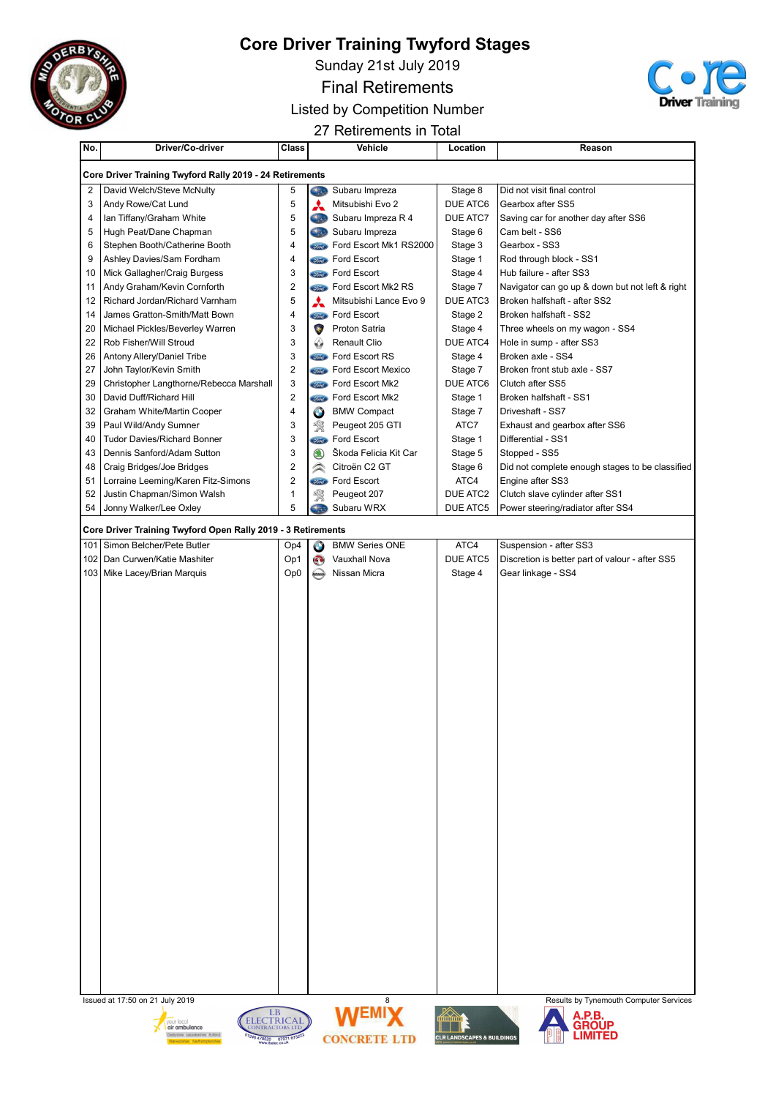

Sunday 21st July 2019

Final Retirements



Listed by Competition Number

27 Retirements in Total

| No.      | Driver/Co-driver                                             | Class                   |                            | Vehicle                   | Location             | Reason                                          |
|----------|--------------------------------------------------------------|-------------------------|----------------------------|---------------------------|----------------------|-------------------------------------------------|
|          | Core Driver Training Twyford Rally 2019 - 24 Retirements     |                         |                            |                           |                      |                                                 |
| 2        | David Welch/Steve McNulty                                    | 5                       |                            | Subaru Impreza            | Stage 8              | Did not visit final control                     |
| 3        | Andy Rowe/Cat Lund                                           | 5                       | ⋏                          | Mitsubishi Evo 2          | DUE ATC6             | Gearbox after SS5                               |
| 4        | Ian Tiffany/Graham White                                     | 5                       | Gas                        | Subaru Impreza R 4        | DUE ATC7             | Saving car for another day after SS6            |
| 5        | Hugh Peat/Dane Chapman                                       | 5                       | <b>Ciaco</b>               | Subaru Impreza            | Stage 6              | Cam belt - SS6                                  |
| 6        | Stephen Booth/Catherine Booth                                | 4                       | <b><i>Stored</i></b>       | Ford Escort Mk1 RS2000    | Stage 3              | Gearbox - SS3                                   |
| 9        | Ashley Davies/Sam Fordham                                    | 4                       | First <sub>2</sub>         | Ford Escort               | Stage 1              | Rod through block - SS1                         |
| 10       | Mick Gallagher/Craig Burgess                                 | 3                       |                            | <b>Compa</b> Ford Escort  | Stage 4              | Hub failure - after SS3                         |
| 11       | Andy Graham/Kevin Cornforth                                  | $\overline{2}$          | <b><i>Stord</i></b>        | Ford Escort Mk2 RS        | Stage 7              | Navigator can go up & down but not left & right |
| 12       | Richard Jordan/Richard Varnham                               | $\sqrt{5}$              | A                          | Mitsubishi Lance Evo 9    | DUE ATC3             | Broken halfshaft - after SS2                    |
| 14       | James Gratton-Smith/Matt Bown                                | 4                       | <i><u><b>Simel</b></u></i> | Ford Escort               | Stage 2              | Broken halfshaft - SS2                          |
| 20       | Michael Pickles/Beverley Warren                              | 3                       | $\bullet$                  | Proton Satria             | Stage 4              | Three wheels on my wagon - SS4                  |
| 22       | Rob Fisher/Will Stroud                                       | 3                       | ↔                          | <b>Renault Clio</b>       | DUE ATC4             | Hole in sump - after SS3                        |
| 26       | Antony Allery/Daniel Tribe                                   | 3                       | First <sub>2</sub>         | Ford Escort RS            | Stage 4              | Broken axle - SS4                               |
| 27       | John Taylor/Kevin Smith                                      | $\overline{2}$          | <b><i>Sird</i></b>         | Ford Escort Mexico        | Stage 7              | Broken front stub axle - SS7                    |
| 29       | Christopher Langthorne/Rebecca Marshall                      | 3                       | <i>Sima</i>                | Ford Escort Mk2           | DUE ATC6             | Clutch after SS5                                |
| 30       | David Duff/Richard Hill                                      | $\overline{2}$          | <i>Sima</i>                | Ford Escort Mk2           | Stage 1              | Broken halfshaft - SS1                          |
| 32       | Graham White/Martin Cooper                                   | $\overline{\mathbf{4}}$ | $\bullet$                  | <b>BMW Compact</b>        | Stage 7              | Driveshaft - SS7                                |
| 39       | Paul Wild/Andy Sumner                                        | 3                       | 溪                          | Peugeot 205 GTI           | ATC7                 | Exhaust and gearbox after SS6                   |
| 40       | <b>Tudor Davies/Richard Bonner</b>                           | 3                       | <b><i><u>Stord</u></i></b> | Ford Escort               | Stage 1              | Differential - SS1                              |
| 43       | Dennis Sanford/Adam Sutton                                   | 3                       | $\circledast$              | Škoda Felicia Kit Car     | Stage 5              | Stopped - SS5                                   |
| 48       | Craig Bridges/Joe Bridges                                    | $\sqrt{2}$              | $\curvearrowright$         | Citroën C2 GT             | Stage 6              | Did not complete enough stages to be classified |
| 51       | Lorraine Leeming/Karen Fitz-Simons                           | $\overline{c}$          | <b>Ford</b>                | Ford Escort               | ATC4                 | Engine after SS3                                |
| 52<br>54 | Justin Chapman/Simon Walsh                                   | $\mathbf{1}$<br>5       | 饗<br>Sta.                  | Peugeot 207<br>Subaru WRX | DUE ATC2<br>DUE ATC5 | Clutch slave cylinder after SS1                 |
|          | Jonny Walker/Lee Oxley                                       |                         |                            |                           |                      | Power steering/radiator after SS4               |
|          | Core Driver Training Twyford Open Rally 2019 - 3 Retirements |                         |                            |                           |                      |                                                 |
|          | 101   Simon Belcher/Pete Butler                              | Op4                     | $\bullet$                  | <b>BMW Series ONE</b>     | ATC4                 | Suspension - after SS3                          |
| 102      | Dan Curwen/Katie Mashiter                                    | Op1                     | $\mathbf{O}$               | Vauxhall Nova             | <b>DUE ATC5</b>      | Discretion is better part of valour - after SS5 |
|          | 103   Mike Lacey/Brian Marquis                               | Op <sub>0</sub>         | <b>MESAY</b>               | Nissan Micra              | Stage 4              | Gear linkage - SS4                              |
|          |                                                              |                         |                            |                           |                      |                                                 |
|          |                                                              |                         |                            |                           |                      |                                                 |
|          |                                                              |                         |                            |                           |                      |                                                 |
|          |                                                              |                         |                            |                           |                      |                                                 |
|          |                                                              |                         |                            |                           |                      |                                                 |
|          |                                                              |                         |                            |                           |                      |                                                 |
|          |                                                              |                         |                            |                           |                      |                                                 |
|          |                                                              |                         |                            |                           |                      |                                                 |
|          |                                                              |                         |                            |                           |                      |                                                 |
|          |                                                              |                         |                            |                           |                      |                                                 |
|          |                                                              |                         |                            |                           |                      |                                                 |
|          |                                                              |                         |                            |                           |                      |                                                 |
|          |                                                              |                         |                            |                           |                      |                                                 |
|          |                                                              |                         |                            |                           |                      |                                                 |
|          |                                                              |                         |                            |                           |                      |                                                 |
|          |                                                              |                         |                            |                           |                      |                                                 |
|          |                                                              |                         |                            |                           |                      |                                                 |
|          |                                                              |                         |                            |                           |                      |                                                 |
|          |                                                              |                         |                            |                           |                      |                                                 |
|          |                                                              |                         |                            |                           |                      |                                                 |
|          |                                                              |                         |                            |                           |                      |                                                 |
|          |                                                              |                         |                            |                           |                      |                                                 |
|          |                                                              |                         |                            |                           |                      |                                                 |
|          |                                                              |                         |                            |                           |                      |                                                 |
|          |                                                              |                         |                            |                           |                      |                                                 |
|          |                                                              |                         |                            |                           |                      |                                                 |
|          |                                                              |                         |                            |                           |                      |                                                 |
|          |                                                              |                         |                            |                           |                      |                                                 |
|          | Issued at 17:50 on 21 July 2019                              |                         |                            | 8                         |                      | Results by Tynemouth Computer Services          |
|          |                                                              |                         |                            |                           |                      |                                                 |









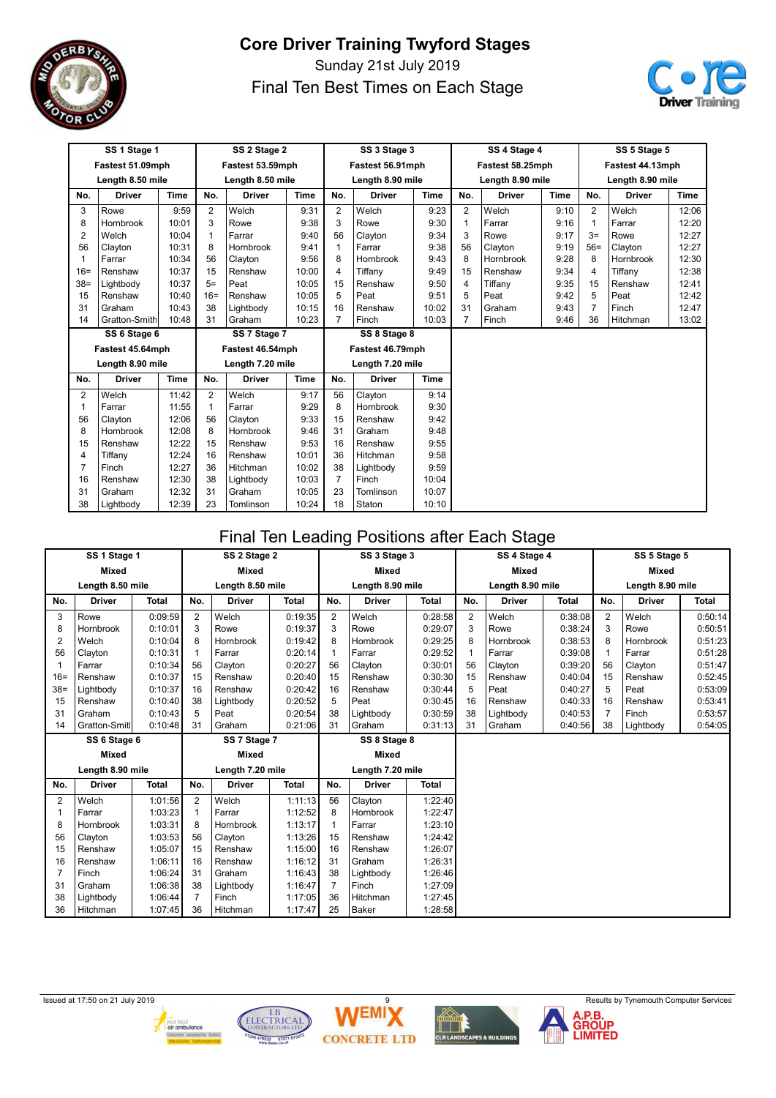

Sunday 21st July 2019 Final Ten Best Times on Each Stage



| SS 1 Stage 1   |                  |             | SS 2 Stage 2 |                  |             |                | SS 3 Stage 3     |             |                | SS 4 Stage 4     |             | SS 5 Stage 5   |                  |             |
|----------------|------------------|-------------|--------------|------------------|-------------|----------------|------------------|-------------|----------------|------------------|-------------|----------------|------------------|-------------|
|                | Fastest 51.09mph |             |              | Fastest 53.59mph |             |                | Fastest 56.91mph |             |                | Fastest 58.25mph |             |                | Fastest 44.13mph |             |
|                | Length 8.50 mile |             |              | Length 8.50 mile |             |                | Length 8.90 mile |             |                | Length 8.90 mile |             |                | Length 8.90 mile |             |
| No.            | <b>Driver</b>    | <b>Time</b> | No.          | <b>Driver</b>    | <b>Time</b> | No.            | <b>Driver</b>    | <b>Time</b> | No.            | <b>Driver</b>    | <b>Time</b> | No.            | <b>Driver</b>    | <b>Time</b> |
| 3              | Rowe             | 9:59        | 2            | Welch            | 9:31        | 2              | Welch            | 9:23        | $\overline{2}$ | Welch            | 9:10        | $\overline{2}$ | Welch            | 12:06       |
| 8              | Hornbrook        | 10:01       | 3            | Rowe             | 9:38        | 3              | Rowe             | 9:30        | $\mathbf{1}$   | Farrar           | 9:16        | 1              | Farrar           | 12:20       |
| $\overline{2}$ | Welch            | 10:04       | $\mathbf{1}$ | Farrar           | 9:40        | 56             | Clayton          | 9:34        | 3              | Rowe             | 9:17        | $3=$           | Rowe             | 12:27       |
| 56             | Clayton          | 10:31       | 8            | Hornbrook        | 9:41        | 1              | Farrar           | 9:38        | 56             | Clayton          | 9:19        | $56=$          | Clayton          | 12:27       |
| 1              | Farrar           | 10:34       | 56           | Clayton          | 9:56        | 8              | Hornbrook        | 9:43        | 8              | Hornbrook        | 9:28        | 8              | Hornbrook        | 12:30       |
| $16=$          | Renshaw          | 10:37       | 15           | Renshaw          | 10:00       | $\overline{4}$ | Tiffany          | 9:49        | 15             | Renshaw          | 9:34        | 4              | Tiffany          | 12:38       |
| $38=$          | Lightbody        | 10:37       | $5=$         | Peat             | 10:05       | 15             | Renshaw          | 9:50        | 4              | Tiffany          | 9:35        | 15             | Renshaw          | 12:41       |
| 15             | Renshaw          | 10:40       | $16=$        | Renshaw          | 10:05       | 5              | Peat             | 9:51        | 5              | Peat             | 9:42        | 5              | Peat             | 12:42       |
| 31             | Graham           | 10:43       | 38           | Lightbody        | 10:15       | 16             | Renshaw          | 10:02       | 31             | Graham           | 9:43        | $\overline{7}$ | Finch            | 12:47       |
| 14             | Gratton-Smith    | 10:48       | 31           | Graham           | 10:23       | 7              | Finch            | 10:03       | $\overline{7}$ | Finch            | 9:46        | 36             | Hitchman         | 13:02       |
|                | SS 6 Stage 6     |             |              | SS 7 Stage 7     |             |                | SS 8 Stage 8     |             |                |                  |             |                |                  |             |
|                | Fastest 45.64mph |             |              | Fastest 46.54mph |             |                | Fastest 46.79mph |             |                |                  |             |                |                  |             |
|                | Length 8.90 mile |             |              | Length 7.20 mile |             |                | Length 7.20 mile |             |                |                  |             |                |                  |             |
| No.            | <b>Driver</b>    | <b>Time</b> | No.          | <b>Driver</b>    | <b>Time</b> | No.            | <b>Driver</b>    | Time        |                |                  |             |                |                  |             |
| $\overline{2}$ | Welch            | 11:42       | 2            | Welch            | 9:17        | 56             | Clayton          | 9:14        |                |                  |             |                |                  |             |
| 1              | Farrar           | 11:55       | $\mathbf{1}$ | Farrar           | 9:29        | 8              | Hornbrook        | 9:30        |                |                  |             |                |                  |             |
| 56             | Clayton          | 12:06       | 56           | Clayton          | 9:33        | 15             | Renshaw          | 9:42        |                |                  |             |                |                  |             |
| 8              | <b>Hornbrook</b> | 12:08       | 8            | Hornbrook        | 9:46        | 31             | Graham           | 9:48        |                |                  |             |                |                  |             |
| 15             | Renshaw          | 12:22       | 15           | Renshaw          | 9:53        | 16             | Renshaw          | 9:55        |                |                  |             |                |                  |             |
| 4              | Tiffany          | 12:24       | 16           | Renshaw          | 10:01       | 36             | Hitchman         | 9:58        |                |                  |             |                |                  |             |
| $\overline{7}$ | Finch            | 12:27       | 36           | Hitchman         | 10:02       | 38             | Lightbody        | 9:59        |                |                  |             |                |                  |             |
| 16             | Renshaw          | 12:30       | 38           | Lightbody        | 10:03       | $\overline{7}$ | Finch            | 10:04       |                |                  |             |                |                  |             |
| 31             | Graham           | 12:32       | 31           | Graham           | 10:05       | 23             | Tomlinson        | 10:07       |                |                  |             |                |                  |             |
| 38             | Lightbody        | 12:39       | 23           | Tomlinson        | 10:24       | 18             | Staton           | 10:10       |                |                  |             |                |                  |             |

#### Final Ten Leading Positions after Each Stage

|                | SS 1 Stage 1     |              | SS 2 Stage 2   |                  |              | SS 3 Stage 3     |                  |              | SS 4 Stage 4 |                  | SS 5 Stage 5 |                |                  |              |
|----------------|------------------|--------------|----------------|------------------|--------------|------------------|------------------|--------------|--------------|------------------|--------------|----------------|------------------|--------------|
|                | <b>Mixed</b>     |              |                | <b>Mixed</b>     |              |                  | <b>Mixed</b>     |              |              | <b>Mixed</b>     |              |                | <b>Mixed</b>     |              |
|                | Length 8.50 mile |              |                | Length 8.50 mile |              |                  | Length 8.90 mile |              |              | Length 8.90 mile |              |                | Length 8.90 mile |              |
| No.            | <b>Driver</b>    | <b>Total</b> | No.            | <b>Driver</b>    | <b>Total</b> | No.              | <b>Driver</b>    | <b>Total</b> | No.          | <b>Driver</b>    | <b>Total</b> | No.            | <b>Driver</b>    | <b>Total</b> |
| 3              | Rowe             | 0:09:59      | $\overline{2}$ | Welch            | 0:19:35      | $\overline{2}$   | Welch            | 0:28:58      | 2            | Welch            | 0:38:08      | $\overline{2}$ | Welch            | 0:50:14      |
| 8              | Hornbrook        | 0:10:01      | 3              | Rowe             | 0:19:37      | 3                | Rowe             | 0:29:07      | 3            | Rowe             | 0:38:24      | 3              | Rowe             | 0:50:51      |
| $\overline{2}$ | Welch            | 0:10:04      | 8              | Hornbrook        | 0:19:42      | 8                | Hornbrook        | 0:29:25      | 8            | Hornbrook        | 0:38:53      | 8              | Hornbrook        | 0:51:23      |
| 56             | Clayton          | 0:10:31      | $\mathbf{1}$   | Farrar           | 0:20:14      |                  | Farrar           | 0:29:52      | 1            | Farrar           | 0:39:08      |                | Farrar           | 0:51:28      |
|                | Farrar           | 0:10:34      | 56             | Clavton          | 0:20:27      | 56               | Clayton          | 0:30:01      | 56           | Clavton          | 0:39:20      | 56             | Clayton          | 0:51:47      |
| $16=$          | Renshaw          | 0:10:37      | 15             | Renshaw          | 0:20:40      | 15               | Renshaw          | 0:30:30      | 15           | Renshaw          | 0:40:04      | 15             | Renshaw          | 0:52:45      |
| $38=$          | Lightbody        | 0:10:37      | 16             | Renshaw          | 0:20:42      | 16               | Renshaw          | 0:30:44      | 5            | Peat             | 0:40:27      | 5              | Peat             | 0:53:09      |
| 15             | Renshaw          | 0:10:40      | 38             | Lightbody        | 0:20:52      | 5                | Peat             | 0:30:45      | 16           | Renshaw          | 0:40:33      | 16             | Renshaw          | 0:53:41      |
| 31             | Graham           | 0:10:43      | 5              | Peat             | 0:20:54      | 38               | Lightbody        | 0:30:59      | 38           | Lightbody        | 0:40:53      | $\overline{7}$ | Finch            | 0:53:57      |
| 14             | Gratton-Smitl    | 0:10:48      | 31             | Graham           | 0:21:06      | 31               | Graham           | 0:31:13      | 31           | Graham           | 0:40:56      | 38             | Lightbody        | 0:54:05      |
|                | SS 6 Stage 6     |              |                | SS 7 Stage 7     |              |                  | SS 8 Stage 8     |              |              |                  |              |                |                  |              |
|                | <b>Mixed</b>     |              |                | <b>Mixed</b>     |              |                  | <b>Mixed</b>     |              |              |                  |              |                |                  |              |
|                | Length 8.90 mile |              |                | Length 7.20 mile |              | Length 7.20 mile |                  |              |              |                  |              |                |                  |              |
| No.            | <b>Driver</b>    | <b>Total</b> | No.            | <b>Driver</b>    | <b>Total</b> | No.              | <b>Driver</b>    | <b>Total</b> |              |                  |              |                |                  |              |
| $\overline{2}$ | Welch            | 1:01:56      | $\overline{2}$ | Welch            | 1:11:13      | 56               | Clayton          | 1:22:40      |              |                  |              |                |                  |              |
|                | Farrar           | 1:03:23      | -1             | Farrar           | 1:12:52      | 8                | Hornbrook        | 1:22:47      |              |                  |              |                |                  |              |
| 8              | Hornbrook        | 1:03:31      | 8              | <b>Hornbrook</b> | 1:13:17      |                  | Farrar           | 1:23:10      |              |                  |              |                |                  |              |
| 56             | Clayton          | 1:03:53      | 56             | Clayton          | 1:13:26      | 15               | Renshaw          | 1:24:42      |              |                  |              |                |                  |              |
| 15             | Renshaw          | 1:05:07      | 15             | Renshaw          | 1:15:00      | 16               | Renshaw          | 1:26:07      |              |                  |              |                |                  |              |
| 16             | Renshaw          | 1:06:11      | 16             | Renshaw          | 1:16:12      | 31               | Graham           | 1:26:31      |              |                  |              |                |                  |              |
|                | Finch            | 1:06:24      | 31             | Graham           | 1:16:43      | 38               | Lightbody        | 1:26:46      |              |                  |              |                |                  |              |
| 31             | Graham           | 1:06:38      | 38             | Lightbody        | 1:16:47      | $\overline{7}$   | Finch            | 1:27:09      |              |                  |              |                |                  |              |
| 38             | Lightbody        | 1:06:44      | 7              | Finch            | 1:17:05      | 36               | Hitchman         | 1:27:45      |              |                  |              |                |                  |              |
| 36             | Hitchman         | 1:07:45      | 36             | Hitchman         | 1:17:47      | 25               | Baker            | 1:28:58      |              |                  |              |                |                  |              |







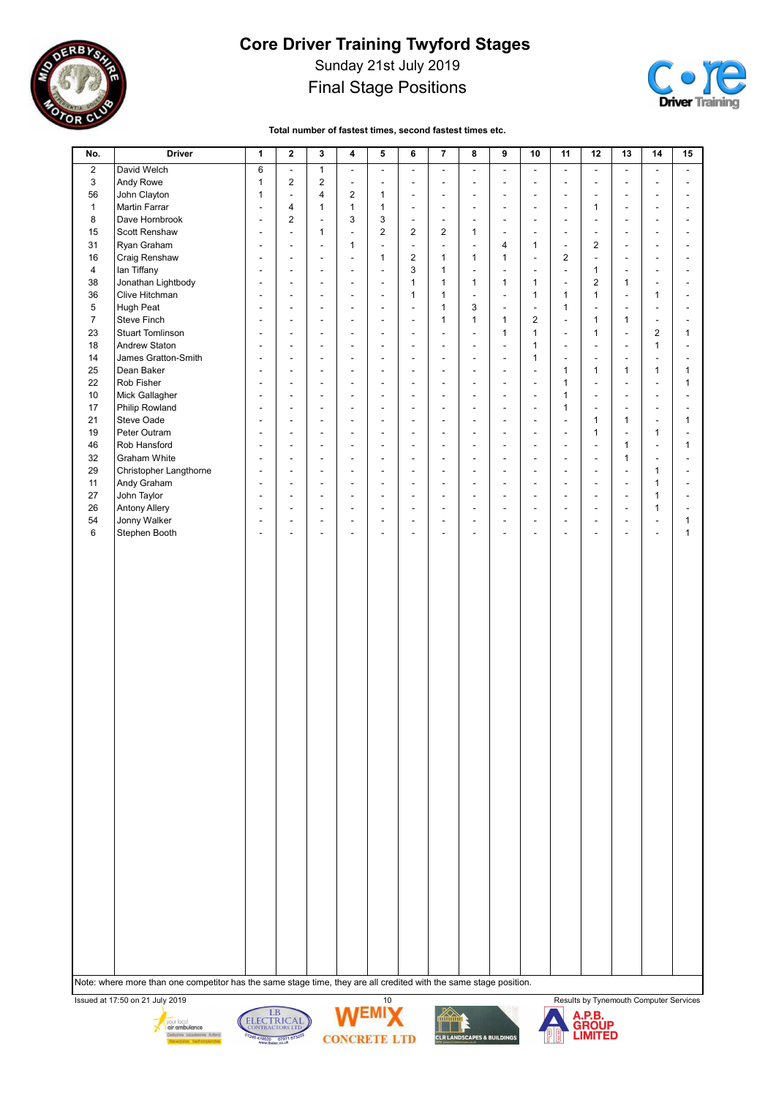

Sunday 21st July 2019

#### Final Stage Positions



Total number of fastest times, second fastest times etc.

| No.            | <b>Driver</b>           | 1                        | $\mathbf 2$              | 3                        | 4                        | 5                        | 6                            | 7                        | 8                        | 9                        | 10                       | 11                           | 12                       | 13                       | 14                       | 15 |
|----------------|-------------------------|--------------------------|--------------------------|--------------------------|--------------------------|--------------------------|------------------------------|--------------------------|--------------------------|--------------------------|--------------------------|------------------------------|--------------------------|--------------------------|--------------------------|----|
| $\overline{2}$ | David Welch             | 6                        | $\overline{\phantom{a}}$ | $\mathbf{1}$             | $\frac{1}{2}$            | $\overline{\phantom{a}}$ | $\overline{\phantom{a}}$     | $\overline{\phantom{a}}$ | ä,                       | $\overline{\phantom{a}}$ | $\blacksquare$           | $\overline{\phantom{a}}$     | $\overline{\phantom{a}}$ | $\overline{\phantom{a}}$ | $\blacksquare$           |    |
| 3              | Andy Rowe               | $\mathbf{1}$             | $\overline{2}$           | $\overline{2}$           | $\overline{a}$           |                          | $\overline{\phantom{m}}$     |                          | ä,                       | $\overline{a}$           |                          | $\overline{a}$               | $\overline{\phantom{a}}$ |                          |                          |    |
| 56             | John Clayton            | 1                        | $\blacksquare$           | 4                        | $\overline{2}$           | 1                        | $\overline{\phantom{a}}$     | $\overline{\phantom{a}}$ | ä,                       | $\overline{a}$           | $\overline{\phantom{a}}$ | $\overline{\phantom{a}}$     | $\overline{\phantom{a}}$ | $\overline{\phantom{a}}$ | $\overline{\phantom{a}}$ |    |
|                | Martin Farrar           |                          | $\overline{4}$           |                          | $\mathbf{1}$             |                          |                              | $\overline{a}$           |                          |                          |                          |                              |                          |                          |                          |    |
| $\mathbf{1}$   |                         | $\overline{\phantom{a}}$ | $\overline{2}$           | 1                        | 3                        | $\mathbf{1}$             | $\overline{\phantom{a}}$     |                          | ä,                       | $\overline{a}$           |                          | $\overline{a}$               | 1                        | ٠                        | $\overline{a}$           |    |
| 8              | Dave Hornbrook          | $\overline{\phantom{a}}$ |                          | $\overline{\phantom{a}}$ |                          | 3                        | $\overline{\phantom{a}}$     | $\overline{\phantom{a}}$ | ä,                       | Ĭ.                       |                          | $\overline{\phantom{a}}$     | $\overline{a}$           | ٠                        |                          |    |
| 15             | Scott Renshaw           | $\overline{\phantom{a}}$ | $\blacksquare$           | 1                        | $\frac{1}{2}$            | $\overline{2}$           | $\overline{2}$               | 2                        | 1                        | $\overline{a}$           | $\overline{\phantom{a}}$ | $\overline{\phantom{a}}$     | $\overline{\phantom{a}}$ | ٠                        | $\blacksquare$           |    |
| 31             | Ryan Graham             | $\overline{\phantom{a}}$ |                          | $\overline{a}$           | 1                        | Ĩ.                       | $\overline{\phantom{a}}$     |                          | L,                       | 4                        | 1                        | $\overline{\phantom{a}}$     | $\overline{2}$           |                          |                          |    |
| 16             | Craig Renshaw           | $\overline{a}$           | $\overline{a}$           | $\overline{\phantom{a}}$ | ÷,                       | 1                        | $\overline{2}$               | 1                        | 1                        | 1                        | $\overline{a}$           | $\overline{2}$               | $\frac{1}{2}$            | $\blacksquare$           | $\overline{a}$           |    |
| 4              | lan Tiffany             | $\overline{\phantom{a}}$ | $\overline{a}$           | $\overline{\phantom{a}}$ | $\overline{a}$           | $\overline{\phantom{a}}$ | 3                            | $\mathbf{1}$             | ä,                       | $\overline{a}$           | $\overline{\phantom{a}}$ | $\overline{\phantom{a}}$     | 1                        | $\overline{a}$           | $\overline{a}$           |    |
| 38             | Jonathan Lightbody      | $\overline{\phantom{a}}$ | $\overline{\phantom{a}}$ | $\overline{\phantom{a}}$ | ٠                        | $\overline{\phantom{a}}$ | $\mathbf{1}$                 | $\mathbf{1}$             | $\mathbf{1}$             | 1                        | 1                        | $\overline{\phantom{a}}$     | $\overline{2}$           | $\mathbf{1}$             | $\overline{\phantom{a}}$ |    |
| 36             | Clive Hitchman          | $\overline{\phantom{a}}$ | $\blacksquare$           | $\blacksquare$           | ٠                        | $\overline{\phantom{a}}$ | $\mathbf{1}$                 | $\mathbf{1}$             | ÷,                       | $\overline{a}$           | 1                        | $\mathbf{1}$                 | $\mathbf{1}$             | ٠                        | $\mathbf{1}$             |    |
| 5              | Hugh Peat               |                          |                          |                          |                          | ÷,                       | $\overline{\phantom{a}}$     | $\mathbf{1}$             | 3                        | $\overline{a}$           |                          | $\mathbf{1}$                 | $\overline{\phantom{a}}$ |                          | $\overline{a}$           |    |
| $\overline{7}$ | Steve Finch             | $\overline{a}$           | $\overline{\phantom{a}}$ | $\overline{\phantom{a}}$ | $\overline{a}$           | $\overline{\phantom{a}}$ | $\overline{\phantom{a}}$     | 1                        | $\mathbf{1}$             | 1                        | $\overline{2}$           | $\frac{1}{2}$                | 1                        | $\mathbf{1}$             | $\overline{\phantom{a}}$ |    |
| 23             | <b>Stuart Tomlinson</b> | $\overline{\phantom{a}}$ | $\overline{\phantom{a}}$ | $\overline{\phantom{a}}$ | $\overline{a}$           | $\overline{\phantom{a}}$ | $\qquad \qquad \blacksquare$ | $\overline{a}$           | ä,                       | 1                        | 1                        | $\qquad \qquad \blacksquare$ | $\mathbf{1}$             | ٠                        | 2                        | 1  |
| 18             | Andrew Staton           | $\overline{a}$           | ÷,                       | $\overline{\phantom{a}}$ | ÷,                       | ÷,                       | $\overline{\phantom{a}}$     |                          | L,                       | L,                       | $\mathbf{1}$             | $\overline{a}$               | ÷,                       | ÷,                       | $\mathbf{1}$             |    |
| 14             | James Gratton-Smith     | $\overline{\phantom{a}}$ | $\overline{\phantom{a}}$ | $\overline{\phantom{a}}$ | $\overline{a}$           | $\overline{\phantom{a}}$ | $\overline{\phantom{a}}$     | $\overline{\phantom{a}}$ | ÷,                       | $\overline{\phantom{a}}$ | 1                        | $\overline{\phantom{a}}$     | $\overline{a}$           | $\blacksquare$           | ÷,                       |    |
| 25             | Dean Baker              |                          |                          |                          |                          |                          | $\qquad \qquad \blacksquare$ |                          | ÷,                       |                          |                          | $\mathbf{1}$                 | $\mathbf{1}$             | $\mathbf{1}$             | $\mathbf{1}$             | 1  |
| 22             | Rob Fisher              | $\overline{\phantom{a}}$ | $\blacksquare$           | $\blacksquare$           | $\overline{a}$           | $\overline{\phantom{a}}$ | $\overline{\phantom{a}}$     | $\overline{\phantom{a}}$ | $\overline{\phantom{0}}$ | $\blacksquare$           | $\overline{\phantom{a}}$ | $\mathbf{1}$                 | $\overline{\phantom{a}}$ | ٠                        | $\overline{a}$           | 1  |
| 10             | Mick Gallagher          | $\overline{\phantom{a}}$ | $\ddot{\phantom{a}}$     | $\overline{a}$           | $\overline{a}$           | $\overline{\phantom{a}}$ | $\overline{\phantom{a}}$     | $\overline{a}$           | ÷,                       | $\overline{a}$           | $\overline{\phantom{a}}$ | $\mathbf{1}$                 | $\overline{\phantom{a}}$ | ٠                        | $\overline{a}$           |    |
| 17             | Philip Rowland          | $\overline{a}$           | $\overline{\phantom{a}}$ | $\overline{\phantom{a}}$ | ٠                        | ÷,                       | $\overline{\phantom{a}}$     |                          | L,                       | L,                       | $\blacksquare$           | $\mathbf{1}$                 | $\overline{a}$           | $\overline{a}$           | ÷,                       |    |
| 21             | Steve Oade              | $\overline{\phantom{a}}$ | $\overline{\phantom{a}}$ | $\blacksquare$           | $\overline{a}$           | $\overline{\phantom{a}}$ | $\overline{\phantom{a}}$     | $\overline{\phantom{a}}$ | ÷,                       | Ĭ.                       | $\overline{\phantom{a}}$ | $\overline{\phantom{m}}$     | 1                        | $\mathbf{1}$             | $\overline{\phantom{a}}$ | 1  |
| 19             | Peter Outram            |                          |                          |                          |                          |                          | $\overline{\phantom{m}}$     |                          | ÷,                       |                          |                          |                              | $\mathbf{1}$             | $\overline{a}$           | 1                        |    |
| 46             | Rob Hansford            | $\overline{\phantom{a}}$ | $\overline{\phantom{a}}$ | $\overline{\phantom{a}}$ | $\overline{\phantom{a}}$ | $\overline{\phantom{a}}$ | $\blacksquare$               | $\overline{\phantom{a}}$ | $\overline{\phantom{0}}$ | $\overline{\phantom{a}}$ | $\overline{\phantom{a}}$ | $\overline{\phantom{a}}$     | $\overline{a}$           | $\mathbf{1}$             | $\blacksquare$           | 1  |
| 32             | Graham White            | $\overline{\phantom{a}}$ | $\overline{\phantom{a}}$ | $\overline{\phantom{a}}$ | $\overline{a}$           | $\overline{\phantom{a}}$ | $\overline{\phantom{m}}$     | $\overline{a}$           | ÷,                       | $\overline{a}$           |                          | $\overline{a}$               | $\overline{\phantom{a}}$ | $\mathbf{1}$             | $\overline{a}$           |    |
| 29             | Christopher Langthorne  | $\overline{a}$           | $\overline{\phantom{a}}$ | $\overline{\phantom{a}}$ | $\overline{a}$           | Ĭ.                       | $\overline{\phantom{a}}$     | ÷,                       | L,                       | $\overline{a}$           | $\blacksquare$           | $\overline{\phantom{a}}$     | $\overline{a}$           | ÷,                       | 1                        |    |
| 11             | Andy Graham             | $\overline{\phantom{a}}$ | $\overline{\phantom{a}}$ | $\blacksquare$           | $\overline{a}$           | $\overline{\phantom{a}}$ | $\overline{\phantom{a}}$     | $\overline{\phantom{a}}$ | ä,                       | $\overline{\phantom{a}}$ | $\blacksquare$           | $\overline{\phantom{a}}$     | $\overline{\phantom{a}}$ | $\overline{\phantom{a}}$ | $\mathbf{1}$             |    |
| 27             | John Taylor             | $\overline{\phantom{a}}$ |                          |                          |                          |                          | $\overline{\phantom{a}}$     |                          | ä,                       |                          |                          | $\overline{a}$               |                          | $\overline{a}$           | $\mathbf{1}$             |    |
| 26             | <b>Antony Allery</b>    | $\overline{\phantom{a}}$ | $\overline{\phantom{a}}$ | $\blacksquare$           | ٠                        | $\overline{\phantom{a}}$ | $\overline{\phantom{a}}$     | $\overline{\phantom{a}}$ | $\overline{\phantom{0}}$ | $\blacksquare$           | $\overline{\phantom{a}}$ | $\blacksquare$               | $\overline{\phantom{a}}$ | $\blacksquare$           | $\mathbf{1}$             |    |
| 54             | Jonny Walker            | $\overline{\phantom{a}}$ | $\overline{\phantom{a}}$ | $\overline{\phantom{a}}$ | $\overline{a}$           | $\overline{\phantom{a}}$ | $\overline{\phantom{a}}$     | $\overline{\phantom{a}}$ | ä,                       | $\overline{a}$           |                          | $\overline{a}$               | $\overline{\phantom{a}}$ | $\overline{a}$           | ÷,                       | 1  |
| 6              | Stephen Booth           | $\overline{a}$           | $\overline{a}$           |                          | ÷,                       | ÷,                       | $\overline{a}$               | $\overline{a}$           | L,                       | ÷,                       |                          | ÷,                           | $\overline{a}$           | $\overline{a}$           | ÷,                       | 1  |
|                |                         |                          |                          |                          |                          |                          |                              |                          |                          |                          |                          |                              |                          |                          |                          |    |
|                |                         |                          |                          |                          |                          |                          |                              |                          |                          |                          |                          |                              |                          |                          |                          |    |
|                |                         |                          |                          |                          |                          |                          |                              |                          |                          |                          |                          |                              |                          |                          |                          |    |

Note: where more than one competitor has the same stage time, they are all credited with the same stage position.







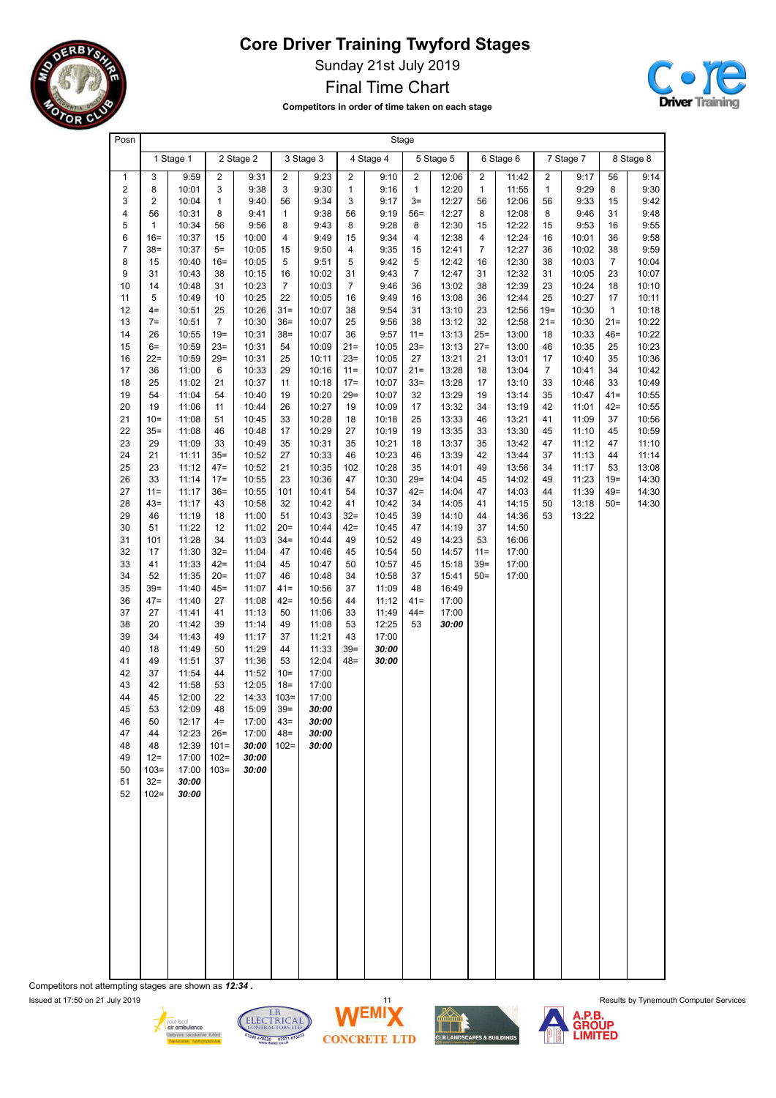

Sunday 21st July 2019

Final Time Chart





| Posn                |                  |                |                   |                |                      |                |                      | Stage          |                      |                |                                  |                |                    |                |                 |                |
|---------------------|------------------|----------------|-------------------|----------------|----------------------|----------------|----------------------|----------------|----------------------|----------------|----------------------------------|----------------|--------------------|----------------|-----------------|----------------|
|                     |                  | 1 Stage 1      |                   | 2 Stage 2      |                      | 3 Stage 3      |                      | 4 Stage 4      |                      | 5 Stage 5      |                                  | 6 Stage 6      |                    | 7 Stage 7      |                 | 8 Stage 8      |
| $\mathbf{1}$        | 3                | 9:59           | $\overline{2}$    | 9:31           | $\overline{2}$       | 9:23           | $\overline{2}$       | 9:10           | $\overline{2}$       | 12:06          | $\overline{2}$                   | 11:42          | $\overline{2}$     | 9:17           | 56              | 9:14           |
| 2<br>3              | 8<br>2           | 10:01<br>10:04 | 3<br>$\mathbf{1}$ | 9:38<br>9:40   | 3<br>56              | 9:30<br>9:34   | $\mathbf{1}$<br>3    | 9:16<br>9:17   | $\mathbf{1}$<br>$3=$ | 12:20<br>12:27 | $\mathbf{1}$<br>56               | 11:55<br>12:06 | $\mathbf{1}$<br>56 | 9:29<br>9:33   | 8<br>15         | 9:30<br>9:42   |
| 4                   | 56               | 10:31          | 8                 | 9:41           | $\mathbf{1}$         | 9:38           | 56                   | 9:19           | $56=$                | 12:27          | 8                                | 12:08          | 8                  | 9:46           | 31              | 9:48           |
| 5                   | 1                | 10:34          | 56                | 9:56           | 8                    | 9:43           | 8                    | 9:28           | 8                    | 12:30          | 15                               | 12:22          | 15                 | 9:53           | 16              | 9:55           |
| 6<br>$\overline{7}$ | $16 =$<br>$38=$  | 10:37<br>10:37 | 15<br>$5=$        | 10:00<br>10:05 | $\overline{4}$<br>15 | 9:49<br>9:50   | 15<br>4              | 9:34<br>9:35   | 4<br>15              | 12:38<br>12:41 | $\overline{4}$<br>$\overline{7}$ | 12:24<br>12:27 | 16<br>36           | 10:01<br>10:02 | 36<br>38        | 9:58<br>9:59   |
| 8                   | 15               | 10:40          | $16 =$            | 10:05          | 5                    | 9:51           | 5                    | 9:42           | 5                    | 12:42          | 16                               | 12:30          | 38                 | 10:03          | $\overline{7}$  | 10:04          |
| 9                   | 31               | 10:43          | 38                | 10:15          | 16                   | 10:02          | 31                   | 9:43           | $\overline{7}$       | 12:47          | 31                               | 12:32          | 31                 | 10:05          | 23              | 10:07          |
| 10<br>11            | 14<br>5          | 10:48<br>10:49 | 31<br>10          | 10:23<br>10:25 | $\overline{7}$<br>22 | 10:03<br>10:05 | $\overline{7}$<br>16 | 9:46<br>9:49   | 36<br>16             | 13:02<br>13:08 | 38<br>36                         | 12:39<br>12:44 | 23<br>25           | 10:24<br>10:27 | 18<br>17        | 10:10<br>10:11 |
| 12                  | $4=$             | 10:51          | 25                | 10:26          | $31 =$               | 10:07          | 38                   | 9:54           | 31                   | 13:10          | 23                               | 12:56          | $19 =$             | 10:30          | $\mathbf{1}$    | 10:18          |
| 13                  | $7=$             | 10:51          | $\overline{7}$    | 10:30          | $36=$                | 10:07          | 25                   | 9:56           | 38                   | 13:12          | 32                               | 12:58          | $21 =$             | 10:30          | $21 =$          | 10:22          |
| 14<br>15            | 26<br>$6=$       | 10:55<br>10:59 | $19 =$<br>$23=$   | 10:31<br>10:31 | $38=$<br>54          | 10:07<br>10:09 | 36<br>$21 =$         | 9:57<br>10:05  | $11 =$<br>$23=$      | 13:13<br>13:13 | 25=<br>$27 =$                    | 13:00<br>13:00 | 18<br>46           | 10:33<br>10:35 | $46=$<br>25     | 10:22<br>10:23 |
| 16                  | $22 =$           | 10:59          | $29=$             | 10:31          | 25                   | 10:11          | $23=$                | 10:05          | 27                   | 13:21          | 21                               | 13:01          | 17                 | 10:40          | 35              | 10:36          |
| 17                  | 36               | 11:00          | 6                 | 10:33          | 29                   | 10:16          | $11 =$               | 10:07          | $21 =$               | 13:28          | 18                               | 13:04          | $\overline{7}$     | 10:41          | 34              | 10:42          |
| 18<br>19            | 25<br>54         | 11:02<br>11:04 | 21<br>54          | 10:37<br>10:40 | 11<br>19             | 10:18<br>10:20 | $17 =$<br>$29=$      | 10:07<br>10:07 | $33=$<br>32          | 13:28<br>13:29 | 17<br>19                         | 13:10<br>13:14 | 33<br>35           | 10:46<br>10:47 | 33<br>$41 =$    | 10:49<br>10:55 |
| 20                  | 19               | 11:06          | 11                | 10:44          | 26                   | 10:27          | 19                   | 10:09          | 17                   | 13:32          | 34                               | 13:19          | 42                 | 11:01          | $42 =$          | 10:55          |
| 21                  | $10=$            | 11:08          | 51                | 10:45          | 33                   | 10:28          | 18                   | 10:18          | 25                   | 13:33          | 46                               | 13:21          | 41                 | 11:09          | 37              | 10:56          |
| 22<br>23            | $35=$<br>29      | 11:08<br>11:09 | 46<br>33          | 10:48<br>10:49 | 17<br>35             | 10:29<br>10:31 | 27<br>35             | 10:19<br>10:21 | 19<br>18             | 13:35<br>13:37 | 33<br>35                         | 13:30<br>13:42 | 45<br>47           | 11:10<br>11:12 | 45<br>47        | 10:59<br>11:10 |
| 24                  | 21               | 11:11          | $35=$             | 10:52          | 27                   | 10:33          | 46                   | 10:23          | 46                   | 13:39          | 42                               | 13:44          | 37                 | 11:13          | 44              | 11:14          |
| 25                  | 23               | 11:12          | $47 =$            | 10:52          | 21                   | 10:35          | 102                  | 10:28          | 35                   | 14:01          | 49                               | 13:56          | 34                 | 11:17          | 53              | 13:08          |
| 26<br>27            | 33<br>$11 =$     | 11:14<br>11:17 | $17 =$<br>$36=$   | 10:55<br>10:55 | 23<br>101            | 10:36<br>10:41 | 47<br>54             | 10:30<br>10:37 | $29=$<br>$42 =$      | 14:04<br>14:04 | 45<br>47                         | 14:02<br>14:03 | 49<br>44           | 11:23<br>11:39 | $19 =$<br>$49=$ | 14:30<br>14:30 |
| 28                  | $43=$            | 11:17          | 43                | 10:58          | 32                   | 10:42          | 41                   | 10:42          | 34                   | 14:05          | 41                               | 14:15          | 50                 | 13:18          | $50=$           | 14:30          |
| 29                  | 46               | 11:19          | 18                | 11:00          | 51                   | 10:43          | $32 =$               | 10:45          | 39                   | 14:10          | 44                               | 14:36          | 53                 | 13:22          |                 |                |
| 30<br>31            | 51<br>101        | 11:22<br>11:28 | 12<br>34          | 11:02<br>11:03 | $20=$<br>$34 =$      | 10:44<br>10:44 | $42 =$<br>49         | 10:45<br>10:52 | 47<br>49             | 14:19<br>14:23 | 37<br>53                         | 14:50<br>16:06 |                    |                |                 |                |
| 32                  | 17               | 11:30          | $32 =$            | 11:04          | 47                   | 10:46          | 45                   | 10:54          | 50                   | 14:57          | $11 =$                           | 17:00          |                    |                |                 |                |
| 33                  | 41               | 11:33          | $42 =$            | 11:04          | 45                   | 10:47          | 50                   | 10:57          | 45                   | 15:18          | $39=$                            | 17:00          |                    |                |                 |                |
| 34<br>35            | 52<br>$39=$      | 11:35<br>11:40 | $20=$<br>$45 =$   | 11:07<br>11:07 | 46<br>$41 =$         | 10:48<br>10:56 | 34<br>37             | 10:58<br>11:09 | 37<br>48             | 15:41<br>16:49 | $50=$                            | 17:00          |                    |                |                 |                |
| 36                  | 47=              | 11:40          | 27                | 11:08          | $42 =$               | 10:56          | 44                   | 11:12          | $41 =$               | 17:00          |                                  |                |                    |                |                 |                |
| 37                  | 27               | 11:41          | 41                | 11:13          | 50                   | 11:06          | 33                   | 11:49          | $44 =$               | 17:00          |                                  |                |                    |                |                 |                |
| 38<br>39            | 20<br>34         | 11:42<br>11:43 | 39<br>49          | 11:14<br>11:17 | 49<br>37             | 11:08<br>11:21 | 53<br>43             | 12:25<br>17:00 | 53                   | 30:00          |                                  |                |                    |                |                 |                |
| 40                  | 18               | 11:49          | 50                | 11:29          | 44                   | 11:33          | $39=$                | 30:00          |                      |                |                                  |                |                    |                |                 |                |
| 41                  | 49               | 11:51          | 37                | 11:36          | 53                   | 12:04          | $48 =$               | 30:00          |                      |                |                                  |                |                    |                |                 |                |
| 42<br>43            | 37<br>42         | 11:54<br>11:58 | 44<br>53          | 11:52<br>12:05 | $10=$<br>$18 =$      | 17:00<br>17:00 |                      |                |                      |                |                                  |                |                    |                |                 |                |
| 44                  | 45               | 12:00          | 22                | 14:33          | $103=$               | 17:00          |                      |                |                      |                |                                  |                |                    |                |                 |                |
| 45                  | 53               | 12:09          | 48                | 15:09          | $39=$                | 30:00          |                      |                |                      |                |                                  |                |                    |                |                 |                |
| 46<br>47            | 50<br>44         | 12:17<br>12:23 | $4=$<br>$26=$     | 17:00<br>17:00 | $43=$<br>$48 =$      | 30:00<br>30:00 |                      |                |                      |                |                                  |                |                    |                |                 |                |
| 48                  | 48               | 12:39          | $101 =$           | 30:00          | $102 =$              | 30:00          |                      |                |                      |                |                                  |                |                    |                |                 |                |
| 49                  | $12 =$           | 17:00          | $102 =$           | 30:00          |                      |                |                      |                |                      |                |                                  |                |                    |                |                 |                |
| 50<br>51            | $103=$<br>$32 =$ | 17:00<br>30:00 | $103=$            | 30:00          |                      |                |                      |                |                      |                |                                  |                |                    |                |                 |                |
| 52                  | $102 =$          | 30:00          |                   |                |                      |                |                      |                |                      |                |                                  |                |                    |                |                 |                |
|                     |                  |                |                   |                |                      |                |                      |                |                      |                |                                  |                |                    |                |                 |                |
|                     |                  |                |                   |                |                      |                |                      |                |                      |                |                                  |                |                    |                |                 |                |
|                     |                  |                |                   |                |                      |                |                      |                |                      |                |                                  |                |                    |                |                 |                |
|                     |                  |                |                   |                |                      |                |                      |                |                      |                |                                  |                |                    |                |                 |                |
|                     |                  |                |                   |                |                      |                |                      |                |                      |                |                                  |                |                    |                |                 |                |
|                     |                  |                |                   |                |                      |                |                      |                |                      |                |                                  |                |                    |                |                 |                |
|                     |                  |                |                   |                |                      |                |                      |                |                      |                |                                  |                |                    |                |                 |                |
|                     |                  |                |                   |                |                      |                |                      |                |                      |                |                                  |                |                    |                |                 |                |
|                     |                  |                |                   |                |                      |                |                      |                |                      |                |                                  |                |                    |                |                 |                |
|                     |                  |                |                   |                |                      |                |                      |                |                      |                |                                  |                |                    |                |                 |                |
|                     |                  |                |                   |                |                      |                |                      |                |                      |                |                                  |                |                    |                |                 |                |

Competitors not attempting stages are shown as 12:34 .









Issued at 17:50 on 21 July 2019 11 Results by Tynemouth Computer Services